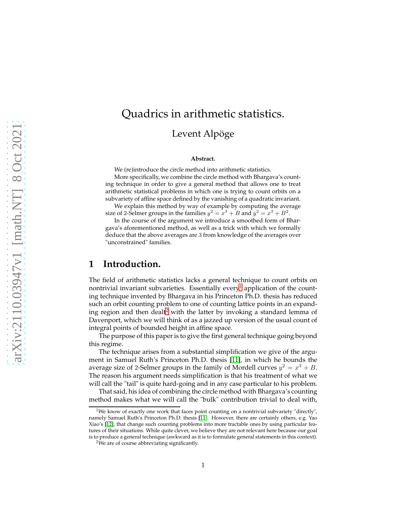# Quadrics in arithmetic statistics. Levent Alpöge

#### **Abstract.**

We (re)introduce the circle method into arithmetic statistics.

More specifically, we combine the circle method with Bhargava's counting technique in order to give a general method that allows one to treat arithmetic statistical problems in which one is trying to count orbits on a subvariety of affine space defined by the vanishing of a quadratic invariant.

We explain this method by way of example by computing the average size of 2-Selmer groups in the families  $y^2 = x^3 + B$  and  $y^2 = x^3 + B^2$ .

In the course of the argument we introduce a smoothed form of Bhargava's aforementioned method, as well as a trick with which we formally deduce that the above averages are 3 from knowledge of the averages over "unconstrained" families.

## **1 Introduction.**

The field of arithmetic statistics lacks a general technique to count orbits on nontrivial invariant subvarieties. Essentially every<sup>[1](#page-0-0)</sup> application of the counting technique invented by Bhargava in his Princeton Ph.D. thesis has reduced such an orbit counting problem to one of counting lattice points in an expand-ing region and then dealt<sup>[2](#page-0-1)</sup> with the latter by invoking a standard lemma of Davenport, which we will think of as a jazzed up version of the usual count of integral points of bounded height in affine space.

The purpose of this paper is to give the first general technique going beyond this regime.

The technique arises from a substantial simplification we give of the argument in Samuel Ruth's Princeton Ph.D. thesis [\[11\]](#page-24-0), in which he bounds the average size of 2-Selmer groups in the family of Mordell curves  $y^2 = x^3 + B$ . The reason his argument needs simplification is that his treatment of what we will call the "tail" is quite hard-going and in any case particular to his problem.

That said, his idea of combining the circle method with Bhargava's counting method makes what we will call the "bulk" contribution trivial to deal with,

<span id="page-0-0"></span><sup>&</sup>lt;sup>1</sup>We know of exactly one work that faces point counting on a nontrivial subvariety "directly", namely Samuel Ruth's Princeton Ph.D. thesis [\[11\]](#page-24-0). However, there are certainly others, e.g. Yao Xiao's [\[12\]](#page-24-1), that change such counting problems into more tractable ones by using particular features of their situations. While quite clever, we believe they are not relevant here because our goal is to produce a general technique (awkward as it is to formulate general statements in this context).

<span id="page-0-1"></span><sup>&</sup>lt;sup>2</sup>We are of course abbreviating significantly.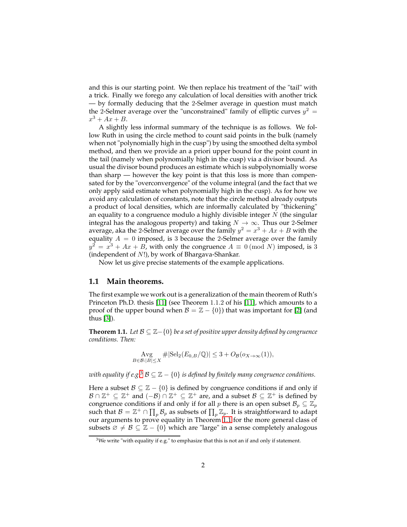and this is our starting point. We then replace his treatment of the "tail" with a trick. Finally we forego any calculation of local densities with another trick — by formally deducing that the 2-Selmer average in question must match the 2-Selmer average over the "unconstrained" family of elliptic curves  $y^2 =$  $x^3 + Ax + B$ .

A slightly less informal summary of the technique is as follows. We follow Ruth in using the circle method to count said points in the bulk (namely when not "polynomially high in the cusp") by using the smoothed delta symbol method, and then we provide an a priori upper bound for the point count in the tail (namely when polynomially high in the cusp) via a divisor bound. As usual the divisor bound produces an estimate which is subpolynomially worse than sharp — however the key point is that this loss is more than compensated for by the "overconvergence" of the volume integral (and the fact that we only apply said estimate when polynomially high in the cusp). As for how we avoid any calculation of constants, note that the circle method already outputs a product of local densities, which are informally calculated by "thickening" an equality to a congruence modulo a highly divisible integer  $N$  (the singular integral has the analogous property) and taking  $N \to \infty$ . Thus our 2-Selmer average, aka the 2-Selmer average over the family  $y^2 = x^3 + Ax + B$  with the equality  $A = 0$  imposed, is 3 because the 2-Selmer average over the family  $y^2 = x^3 + Ax + B$ , with only the congruence  $A \equiv 0 \pmod{N}$  imposed, is 3 (independent of N!), by work of Bhargava-Shankar.

Now let us give precise statements of the example applications.

## **1.1 Main theorems.**

The first example we work out is a generalization of the main theorem of Ruth's Princeton Ph.D. thesis [\[11\]](#page-24-0) (see Theorem 1.1.2 of his [\[11\]](#page-24-0), which amounts to a proof of the upper bound when  $\mathcal{B} = \mathbb{Z} - \{0\}$ ) that was important for [\[2\]](#page-24-2) (and thus [\[3\]](#page-24-3)).

<span id="page-1-1"></span>**Theorem 1.1.** *Let* B ⊆ Z−{0} *be a set of positive upper density defined by congruence conditions. Then:*

$$
\operatorname{Avg}_{B \in \mathcal{B}:|B| \le X} \# |\operatorname{Sel}_2(E_{0,B}/\mathbb{Q})| \le 3 + O_{\mathcal{B}}(o_{X \to \infty}(1)),
$$

*with equality if e.g.*<sup>[3](#page-1-0)</sup>  $\mathcal{B} \subseteq \mathbb{Z} - \{0\}$  *is defined by finitely many congruence conditions.* 

Here a subset  $\mathcal{B} \subseteq \mathbb{Z} - \{0\}$  is defined by congruence conditions if and only if  $\mathcal{B} \cap \mathbb{Z}^+ \subseteq \mathbb{Z}^+$  and  $(-\mathcal{B}) \cap \mathbb{Z}^+ \subseteq \mathbb{Z}^+$  are, and a subset  $\mathcal{B} \subseteq \mathbb{Z}^+$  is defined by congruence conditions if and only if for all p there is an open subset  $\mathcal{B}_p \subseteq \mathbb{Z}_p$ such that  $\mathcal{B} = \mathbb{Z}^+ \cap \prod_p \mathcal{B}_p$  as subsets of  $\prod_p \mathbb{Z}_p$ . It is straightforward to adapt our arguments to prove equality in Theorem [1.1](#page-1-1) for the more general class of subsets  $\emptyset \neq \emptyset \subseteq \mathbb{Z} - \{0\}$  which are "large" in a sense completely analogous

<span id="page-1-0"></span> $3$ We write "with equality if e.g." to emphasize that this is not an if and only if statement.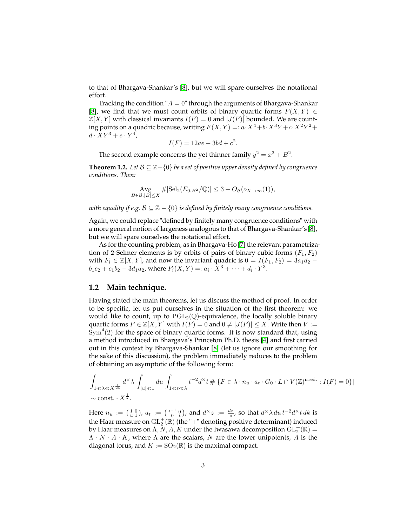to that of Bhargava-Shankar's [\[8\]](#page-24-4), but we will spare ourselves the notational effort.

Tracking the condition " $A = 0$ " through the arguments of Bhargava-Shankar [\[8\]](#page-24-4), we find that we must count orbits of binary quartic forms  $F(X, Y) \in$  $\mathbb{Z}[X, Y]$  with classical invariants  $I(F) = 0$  and  $|J(F)|$  bounded. We are counting points on a quadric because, writing  $F(X,Y) =: a \cdot X^4 + b \cdot X^3 Y + c \cdot X^2 Y^2 + c$  $d \cdot XY^3 + e \cdot Y^4$ ,

$$
I(F) = 12ae - 3bd + c^2.
$$

The second example concerns the yet thinner family  $y^2 = x^3 + B^2$ .

<span id="page-2-0"></span>**Theorem 1.2.** *Let* B ⊆ Z−{0} *be a set of positive upper density defined by congruence conditions. Then:*

$$
\operatorname{Avg}_{B\in\mathcal{B}:|B|\leq X} \#|\mathrm{Sel}_2(E_{0,B^2}/\mathbb{Q})| \leq 3 + O_{\mathcal{B}}(o_{X\to\infty}(1)),
$$

*with equality if e.g.*  $\mathcal{B} \subseteq \mathbb{Z} - \{0\}$  *is defined by finitely many congruence conditions.* 

Again, we could replace "defined by finitely many congruence conditions" with a more general notion of largeness analogous to that of Bhargava-Shankar's [\[8\]](#page-24-4), but we will spare ourselves the notational effort.

As for the counting problem, as in Bhargava-Ho [\[7\]](#page-24-5) the relevant parametrization of 2-Selmer elements is by orbits of pairs of binary cubic forms  $(F_1, F_2)$ with  $F_i \in \mathbb{Z}[X, Y]$ , and now the invariant quadric is  $0 = I(F_1, F_2) = 3a_1d_2$  –  $b_1c_2 + c_1b_2 - 3d_1a_2$ , where  $F_i(X, Y) =: a_i \cdot X^3 + \cdots + d_i \cdot Y^3$ .

#### **1.2 Main technique.**

Having stated the main theorems, let us discuss the method of proof. In order to be specific, let us put ourselves in the situation of the first theorem: we would like to count, up to  $PGL_2(\mathbb{Q})$ -equivalence, the locally soluble binary quartic forms  $F \in \mathbb{Z}[X, Y]$  with  $I(F) = 0$  and  $0 \neq |J(F)| \leq X$ . Write then  $V :=$  $\text{Sym}^4(2)$  for the space of binary quartic forms. It is now standard that, using a method introduced in Bhargava's Princeton Ph.D. thesis [\[4\]](#page-24-6) and first carried out in this context by Bhargava-Shankar [\[8\]](#page-24-4) (let us ignore our smoothing for the sake of this discussion), the problem immediately reduces to the problem of obtaining an asymptotic of the following form:

$$
\int_{1 \leq \lambda \leq X^{\frac{1}{24}}} d^{\times} \lambda \int_{|u| \leq 1} du \int_{1 \leq t \leq \lambda} t^{-2} d^{\times} t \# \{ F \in \lambda \cdot n_u \cdot a_t \cdot G_0 \cdot L \cap V(\mathbb{Z})^{\text{irred.}} : I(F) = 0 \} | \newline \sim \text{const.} \cdot X^{\frac{1}{2}}.
$$

Here  $n_u := \left(\begin{smallmatrix} 1 & 0 \\ u & 1 \end{smallmatrix}\right)$ ,  $a_t := \left(\begin{smallmatrix} t^{-1} & 0 \\ 0 & t \end{smallmatrix}\right)$ , and  $d^\times z := \frac{dz}{z}$ , so that  $d^\times \lambda \, du \, t^{-2} d^\times t \, dk$  is the Haar measure on  $\mathrm{GL}_2^+(\mathbb{R})$  (the "+" denoting positive determinant) induced by Haar measures on  $\Lambda, \overline{N}, A, K$  under the Iwasawa decomposition  $\mathrm{GL}^+_2(\mathbb R)=$  $\Lambda \cdot N \cdot A \cdot K$ , where  $\Lambda$  are the scalars, N are the lower unipotents, A is the diagonal torus, and  $K := SO_2(\mathbb{R})$  is the maximal compact.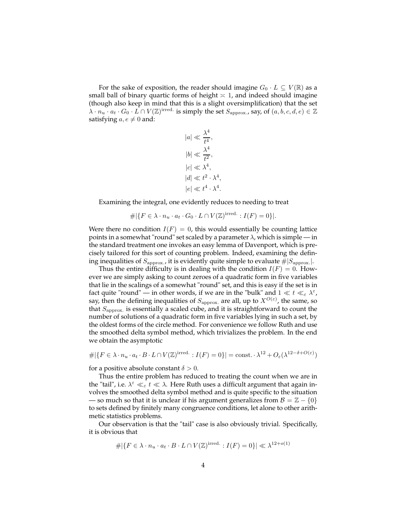For the sake of exposition, the reader should imagine  $G_0 \cdot L \subseteq V(\mathbb{R})$  as a small ball of binary quartic forms of height  $\approx$  1, and indeed should imagine (though also keep in mind that this is a slight oversimplification) that the set  $\lambda \cdot n_u \cdot a_t \cdot G_0 \cdot L \cap V(\mathbb{Z})^{\text{irred.}}$  is simply the set  $S_{\text{approx.}}$ , say, of  $(a, b, c, d, e) \in \mathbb{Z}$ satisfying  $a, e \neq 0$  and:

$$
|a| \ll \frac{\lambda^4}{t^4},
$$
  
\n
$$
|b| \ll \frac{\lambda^4}{t^2},
$$
  
\n
$$
|c| \ll \lambda^4,
$$
  
\n
$$
|d| \ll t^2 \cdot \lambda^4
$$
  
\n
$$
|e| \ll t^4 \cdot \lambda^4
$$

,

.

Examining the integral, one evidently reduces to needing to treat

$$
\#|\{F \in \lambda \cdot n_u \cdot a_t \cdot G_0 \cdot L \cap V(\mathbb{Z})^{\text{irred.}} : I(F) = 0\}|.
$$

Were there no condition  $I(F) = 0$ , this would essentially be counting lattice points in a somewhat "round" set scaled by a parameter  $\lambda$ , which is simple — in the standard treatment one invokes an easy lemma of Davenport, which is precisely tailored for this sort of counting problem. Indeed, examining the defining inequalities of  $S_{\text{approx}}$ , it is evidently quite simple to evaluate  $\#|S_{\text{approx}}|$ .

Thus the entire difficulty is in dealing with the condition  $I(F) = 0$ . However we are simply asking to count zeroes of a quadratic form in five variables that lie in the scalings of a somewhat "round" set, and this is easy if the set is in fact quite "round" — in other words, if we are in the "bulk" and  $1 \ll t \ll_{\varepsilon} \lambda^{\varepsilon}$ , say, then the defining inequalities of  $S_{\text{approx.}}$  are all, up to  $X^{O(\varepsilon)}$ , the same, so that  $S_{\text{approx.}}$  is essentially a scaled cube, and it is straightforward to count the number of solutions of a quadratic form in five variables lying in such a set, by the oldest forms of the circle method. For convenience we follow Ruth and use the smoothed delta symbol method, which trivializes the problem. In the end we obtain the asymptotic

$$
\#|\{F \in \lambda \cdot n_u \cdot a_t \cdot B \cdot L \cap V(\mathbb{Z})^{\text{irred.}} : I(F) = 0\}| = \text{const.} \cdot \lambda^{12} + O_{\varepsilon}(\lambda^{12 - \delta + O(\varepsilon)})
$$

for a positive absolute constant  $\delta > 0$ .

Thus the entire problem has reduced to treating the count when we are in the "tail", i.e.  $\lambda^{\varepsilon} \ll_{\varepsilon} t \ll \lambda$ . Here Ruth uses a difficult argument that again involves the smoothed delta symbol method and is quite specific to the situation — so much so that it is unclear if his argument generalizes from  $\mathcal{B} = \mathbb{Z} - \{0\}$ to sets defined by finitely many congruence conditions, let alone to other arithmetic statistics problems.

Our observation is that the "tail" case is also obviously trivial. Specifically, it is obvious that

$$
\#|\{F \in \lambda \cdot n_u \cdot a_t \cdot B \cdot L \cap V(\mathbb{Z})^{\text{irred.}} : I(F) = 0\}| \ll \lambda^{12+o(1)}
$$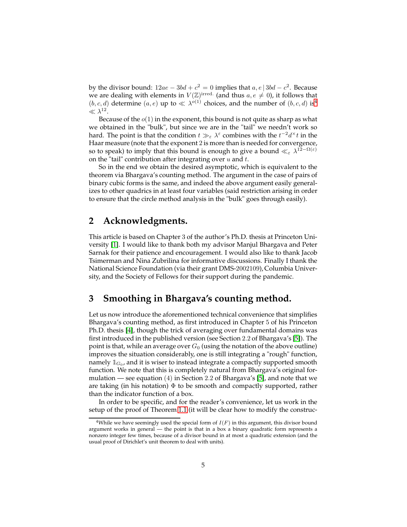by the divisor bound:  $12ae - 3bd + c^2 = 0$  implies that  $a, e \mid 3bd - c^2$ . Because we are dealing with elements in  $V(\mathbb{Z})^{\text{irred.}}$  (and thus  $a, e \neq 0$ ), it follows that  $(b, c, d)$  determine  $(a, e)$  up to  $\ll \lambda^{o(1)}$  choices, and the number of  $(b, c, d)$  is<sup>[4](#page-4-0)</sup>  $\ll \lambda^{12}.$ 

Because of the  $o(1)$  in the exponent, this bound is not quite as sharp as what we obtained in the "bulk", but since we are in the "tail" we needn't work so hard. The point is that the condition  $t \gg_{\varepsilon} \lambda^{\varepsilon}$  combines with the  $t^{-2}d^{\times}t$  in the Haar measure (note that the exponent 2 is more than is needed for convergence, so to speak) to imply that this bound is enough to give a bound  $\ll_{\varepsilon} \lambda^{12-\Omega(\varepsilon)}$ on the "tail" contribution after integrating over  $u$  and  $t$ .

So in the end we obtain the desired asymptotic, which is equivalent to the theorem via Bhargava's counting method. The argument in the case of pairs of binary cubic forms is the same, and indeed the above argument easily generalizes to other quadrics in at least four variables (said restriction arising in order to ensure that the circle method analysis in the "bulk" goes through easily).

## **2 Acknowledgments.**

This article is based on Chapter 3 of the author's Ph.D. thesis at Princeton University [\[1\]](#page-24-7). I would like to thank both my advisor Manjul Bhargava and Peter Sarnak for their patience and encouragement. I would also like to thank Jacob Tsimerman and Nina Zubrilina for informative discussions. Finally I thank the National Science Foundation (via their grant DMS-2002109), Columbia University, and the Society of Fellows for their support during the pandemic.

## <span id="page-4-1"></span>**3 Smoothing in Bhargava's counting method.**

Let us now introduce the aforementioned technical convenience that simplifies Bhargava's counting method, as first introduced in Chapter 5 of his Princeton Ph.D. thesis [\[4\]](#page-24-6), though the trick of averaging over fundamental domains was first introduced in the published version (see Section 2.2 of Bhargava's [\[5\]](#page-24-8)). The point is that, while an average over  $G_0$  (using the notation of the above outline) improves the situation considerably, one is still integrating a "rough" function, namely  $\mathbb{1}_{G_0}$ , and it is wiser to instead integrate a compactly supported smooth function. We note that this is completely natural from Bhargava's original formulation — see equation (4) in Section 2.2 of Bhargava's [\[5\]](#page-24-8), and note that we are taking (in his notation)  $\Phi$  to be smooth and compactly supported, rather than the indicator function of a box.

In order to be specific, and for the reader's convenience, let us work in the setup of the proof of Theorem [1.1](#page-1-1) (it will be clear how to modify the construc-

<span id="page-4-0"></span><sup>&</sup>lt;sup>4</sup>While we have seemingly used the special form of  $I(F)$  in this argument, this divisor bound argument works in general — the point is that in a box a binary quadratic form represents a nonzero integer few times, because of a divisor bound in at most a quadratic extension (and the usual proof of Dirichlet's unit theorem to deal with units).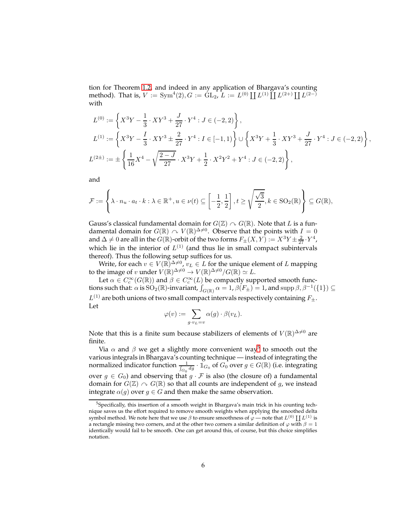tion for Theorem [1.2,](#page-2-0) and indeed in any application of Bhargava's counting method). That is,  $V := Sym^4(2), G := GL_2, L := L^{(0)} \coprod L^{(1)} \coprod L^{(2+)} \coprod L^{(2-)}$ with

$$
L^{(0)} := \left\{ X^3 Y - \frac{1}{3} \cdot XY^3 + \frac{J}{27} \cdot Y^4 : J \in (-2, 2) \right\},
$$
  
\n
$$
L^{(1)} := \left\{ X^3 Y - \frac{I}{3} \cdot XY^3 \pm \frac{2}{27} \cdot Y^4 : I \in [-1, 1) \right\} \cup \left\{ X^3 Y + \frac{1}{3} \cdot XY^3 + \frac{J}{27} \cdot Y^4 : J \in (-2, 2) \right\},
$$
  
\n
$$
L^{(2\pm)} := \pm \left\{ \frac{1}{16} X^4 - \sqrt{\frac{2-J}{27}} \cdot X^3 Y + \frac{1}{2} \cdot X^2 Y^2 + Y^4 : J \in (-2, 2) \right\},
$$

and

$$
\mathcal{F} := \left\{ \lambda \cdot n_u \cdot a_t \cdot k : \lambda \in \mathbb{R}^+, u \in \nu(t) \subseteq \left[ -\frac{1}{2}, \frac{1}{2} \right], t \ge \sqrt{\frac{\sqrt{3}}{2}}, k \in \text{SO}_2(\mathbb{R}) \right\} \subseteq G(\mathbb{R}),
$$

Gauss's classical fundamental domain for  $G(\mathbb{Z}) \cap G(\mathbb{R})$ . Note that L is a fundamental domain for  $G(\mathbb{R}) \curvearrowright V(\mathbb{R})^{\Delta \neq 0}$ . Observe that the points with  $I = 0$ and  $\Delta \neq 0$  are all in the  $G(\mathbb{R})$ -orbit of the two forms  $F_{\pm}(X,Y) := X^3 Y \pm \frac{2}{27} \cdot Y^4$ , which lie in the interior of  $L^{(1)}$  (and thus lie in small compact subintervals thereof). Thus the following setup suffices for us.

Write, for each  $v \in V(\mathbb{R})^{\Delta \neq 0}$ ,  $v_L \in L$  for the unique element of L mapping to the image of v under  $V(\mathbb{R})^{\Delta \neq 0} \to V(\mathbb{R})^{\Delta \neq 0}/G(\mathbb{R}) \simeq L$ .

Let  $\alpha \in C_c^{\infty}(G(\mathbb{R}))$  and  $\beta \in C_c^{\infty}(L)$  be compactly supported smooth functions such that:  $\alpha$  is  ${\rm SO}_2(\mathbb{R})$ -invariant,  $\int_{G(\mathbb{R})} \alpha = 1$ ,  $\beta(F_{\pm}) = 1$ , and  ${\rm supp}\,\beta, \beta^{-1}(\{1\}) \subseteq$  $L^{(1)}$  are both unions of two small compact intervals respectively containing  $F_{\pm}$ . Let

$$
\varphi(v) := \sum_{g \cdot v_L = v} \alpha(g) \cdot \beta(v_L).
$$

Note that this is a finite sum because stabilizers of elements of  $V(\mathbb{R})^{\Delta \neq 0}$  are finite.

Via  $\alpha$  and  $\beta$  we get a slightly more convenient way<sup>[5](#page-5-0)</sup> to smooth out the various integrals in Bhargava's counting technique — instead of integrating the normalized indicator function  $\frac{1}{\int_{G_0} dg} \cdot \mathbb{1}_{G_0}$  of  $G_0$  over  $g \in G(\mathbb{R})$  (i.e. integrating over  $g \in G_0$ ) and observing that  $g \cdot \mathcal{F}$  is also (the closure of) a fundamental domain for  $G(\mathbb{Z}) \cap G(\mathbb{R})$  so that all counts are independent of g, we instead integrate  $\alpha(g)$  over  $g \in G$  and then make the same observation.

<span id="page-5-0"></span> $5$ Specifically, this insertion of a smooth weight in Bhargava's main trick in his counting technique saves us the effort required to remove smooth weights when applying the smoothed delta symbol method. We note here that we use  $\beta$  to ensure smoothness of  $\varphi$  — note that  $L^{(0)}$  [[ $L^{(1)}$  is a rectangle missing two corners, and at the other two corners a similar definition of  $\varphi$  with  $\beta = 1$ identically would fail to be smooth. One can get around this, of course, but this choice simplifies notation.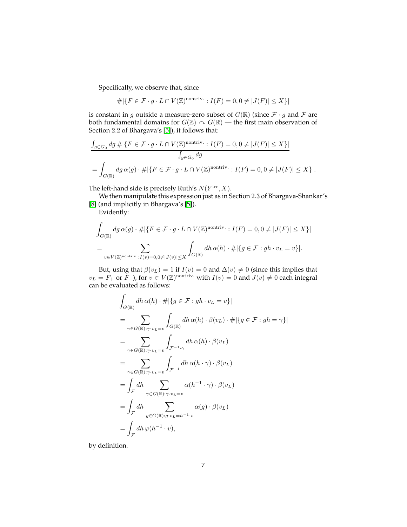Specifically, we observe that, since

$$
\#|\{F \in \mathcal{F} \cdot g \cdot L \cap V(\mathbb{Z})^{\text{nontriv.}} : I(F) = 0, 0 \neq |J(F)| \leq X\}|
$$

is constant in g outside a measure-zero subset of  $G(\mathbb{R})$  (since  $\mathcal{F} \cdot g$  and  $\mathcal{F}$  are both fundamental domains for  $G(\mathbb{Z}) \cap G(\mathbb{R})$  — the first main observation of Section 2.2 of Bhargava's [\[5\]](#page-24-8)), it follows that:

$$
\frac{\int_{g \in G_0} dg \# |\{F \in \mathcal{F} \cdot g \cdot L \cap V(\mathbb{Z})^{\text{nontriv.}} : I(F) = 0, 0 \neq |J(F)| \leq X\}|}{\int_{g \in G_0} dg}
$$
\n
$$
= \int_{G(\mathbb{R})} dg \,\alpha(g) \cdot \# |\{F \in \mathcal{F} \cdot g \cdot L \cap V(\mathbb{Z})^{\text{nontriv.}} : I(F) = 0, 0 \neq |J(F)| \leq X\}|.
$$

The left-hand side is precisely Ruth's  $N(Y<sup>irr</sup>, X)$ .

We then manipulate this expression just as in Section 2.3 of Bhargava-Shankar's [\[8\]](#page-24-4) (and implicitly in Bhargava's [\[5\]](#page-24-8)).

Evidently:

$$
\int_{G(\mathbb{R})} dg \alpha(g) \cdot \# |\{ F \in \mathcal{F} \cdot g \cdot L \cap V(\mathbb{Z})^{\text{nontriv.}} : I(F) = 0, 0 \neq |J(F)| \leq X \}|
$$
\n
$$
= \sum_{v \in V(\mathbb{Z})^{\text{nontriv.}} : I(v) = 0, 0 \neq |J(v)| \leq X} \int_{G(\mathbb{R})} dh \alpha(h) \cdot \# |\{ g \in \mathcal{F} : gh \cdot v_L = v \}|.
$$

But, using that  $\beta(v_L) = 1$  if  $I(v) = 0$  and  $\Delta(v) \neq 0$  (since this implies that  $v_L = F_+$  or  $F_-$ ), for  $v \in V(\mathbb{Z})^{\text{nontriv.}}$  with  $I(v) = 0$  and  $J(v) \neq 0$  each integral can be evaluated as follows:

$$
\int_{G(\mathbb{R})} dh \alpha(h) \cdot # |\{g \in \mathcal{F} : gh \cdot v_L = v\}|
$$
\n
$$
= \sum_{\gamma \in G(\mathbb{R}): \gamma \cdot v_L = v} \int_{G(\mathbb{R})} dh \alpha(h) \cdot \beta(v_L) \cdot # |\{g \in \mathcal{F} : gh = \gamma\}|
$$
\n
$$
= \sum_{\gamma \in G(\mathbb{R}): \gamma \cdot v_L = v} \int_{\mathcal{F}^{-1} \cdot \gamma} dh \alpha(h) \cdot \beta(v_L)
$$
\n
$$
= \sum_{\gamma \in G(\mathbb{R}): \gamma \cdot v_L = v} \int_{\mathcal{F}^{-1}} dh \alpha(h \cdot \gamma) \cdot \beta(v_L)
$$
\n
$$
= \int_{\mathcal{F}} dh \sum_{\gamma \in G(\mathbb{R}): \gamma \cdot v_L = v} \alpha(h^{-1} \cdot \gamma) \cdot \beta(v_L)
$$
\n
$$
= \int_{\mathcal{F}} dh \sum_{g \in G(\mathbb{R}): g \cdot v_L = h^{-1} \cdot v} \alpha(g) \cdot \beta(v_L)
$$
\n
$$
= \int_{\mathcal{F}} dh \varphi(h^{-1} \cdot v),
$$

by definition.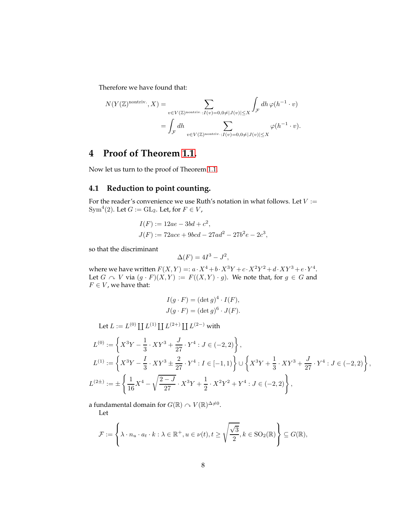Therefore we have found that:

$$
N(Y(\mathbb{Z})^{\text{nontriv.}}, X) = \sum_{v \in V(\mathbb{Z})^{\text{nontriv.}}: I(v) = 0, 0 \neq |J(v)| \leq X} \int_{\mathcal{F}} dh \, \varphi(h^{-1} \cdot v)
$$
  
= 
$$
\int_{\mathcal{F}} dh \sum_{v \in V(\mathbb{Z})^{\text{nontriv.}}: I(v) = 0, 0 \neq |J(v)| \leq X} \varphi(h^{-1} \cdot v).
$$

## **4 Proof of Theorem [1.1.](#page-1-1)**

Now let us turn to the proof of Theorem [1.1.](#page-1-1)

## **4.1 Reduction to point counting.**

For the reader's convenience we use Ruth's notation in what follows. Let  $V :=$ Sym<sup>4</sup>(2). Let  $G := GL_2$ . Let, for  $F \in V$ ,

$$
I(F) := 12ae - 3bd + c^2,
$$
  
\n
$$
J(F) := 72ace + 9bcd - 27ad^2 - 27b^2e - 2c^3,
$$

so that the discriminant

$$
\Delta(F) = 4I^3 - J^2,
$$

where we have written  $F(X, Y) =: a \cdot X^4 + b \cdot X^3 Y + c \cdot X^2 Y^2 + d \cdot XY^3 + e \cdot Y^4$ . Let  $G \curvearrowright V$  via  $(g \cdot F)(X, Y) := F((X, Y) \cdot g)$ . We note that, for  $g \in G$  and  $F \in V$  , we have that:

$$
I(g \cdot F) = (\det g)^{4} \cdot I(F),
$$
  

$$
J(g \cdot F) = (\det g)^{6} \cdot J(F).
$$

Let 
$$
L := L^{(0)} \coprod L^{(1)} \coprod L^{(2+)} \coprod L^{(2-)}
$$
 with

$$
L^{(0)} := \left\{ X^3 Y - \frac{1}{3} \cdot XY^3 + \frac{J}{27} \cdot Y^4 : J \in (-2, 2) \right\},
$$
  
\n
$$
L^{(1)} := \left\{ X^3 Y - \frac{I}{3} \cdot XY^3 \pm \frac{2}{27} \cdot Y^4 : I \in [-1, 1) \right\} \cup \left\{ X^3 Y + \frac{1}{3} \cdot XY^3 + \frac{J}{27} \cdot Y^4 : J \in (-2, 2) \right\},
$$
  
\n
$$
L^{(2\pm)} := \pm \left\{ \frac{1}{16} X^4 - \sqrt{\frac{2-J}{27}} \cdot X^3 Y + \frac{1}{2} \cdot X^2 Y^2 + Y^4 : J \in (-2, 2) \right\},
$$

a fundamental domain for  $G(\mathbb{R})\curvearrowright V(\mathbb{R})^{\Delta\neq 0}.$ 

Let

$$
\mathcal{F} := \left\{ \lambda \cdot n_u \cdot a_t \cdot k : \lambda \in \mathbb{R}^+, u \in \nu(t), t \ge \sqrt{\frac{\sqrt{3}}{2}}, k \in \text{SO}_2(\mathbb{R}) \right\} \subseteq G(\mathbb{R}),
$$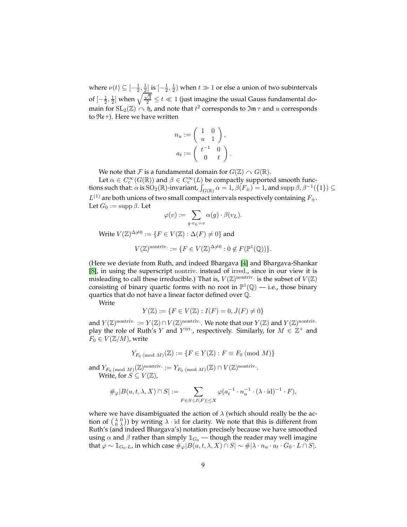where  $\nu(t) \subseteq [-\frac{1}{2}, \frac{1}{2}]$  is  $[-\frac{1}{2}, \frac{1}{2})$  when  $t \gg 1$  or else a union of two subintervals of  $[-\frac{1}{2},\frac{1}{2}]$  when  $\sqrt{\frac{\sqrt{3}}{2}}\leq t\ll 1$  (just imagine the usual Gauss fundamental domain for  $\mathrm{SL}_2(\mathbb{Z})\curvearrowright \mathfrak{h}$ , and note that  $t^2$  corresponds to  $\mathfrak{Im}\,\tau$  and  $u$  corresponds to  $\Re$ e  $\tau$ ). Here we have written

$$
n_u := \left(\begin{array}{cc} 1 & 0 \\ u & 1 \end{array}\right),
$$
  

$$
a_t := \left(\begin{array}{cc} t^{-1} & 0 \\ 0 & t \end{array}\right).
$$

We note that F is a fundamental domain for  $G(\mathbb{Z}) \cap G(\mathbb{R})$ .

Let  $\alpha \in C_c^{\infty}(G(\mathbb{R}))$  and  $\beta \in C_c^{\infty}(L)$  be compactly supported smooth functions such that:  $\alpha$  is  ${\rm SO}_2(\mathbb{R})$ -invariant,  $\int_{G(\mathbb{R})} \alpha = 1$ ,  $\beta(F_{\pm}) = 1$ , and  ${\rm supp}\,\beta, \beta^{-1}(\{1\}) \subseteq$  $L^{(1)}$  are both unions of two small compact intervals respectively containing  $F_{\pm}$ . Let  $G_0 := \text{supp }\beta$ . Let

$$
\varphi(v) := \sum_{g \cdot v_L = v} \alpha(g) \cdot \beta(v_L).
$$

Write  $V(\mathbb{Z})^{\Delta \neq 0} := \{ F \in V(\mathbb{Z}) : \Delta(F) \neq 0 \}$  and

$$
V(\mathbb{Z})^{\text{nontriv.}} := \{ F \in V(\mathbb{Z})^{\Delta \neq 0} : 0 \notin F(\mathbb{P}^1(\mathbb{Q})) \}.
$$

(Here we deviate from Ruth, and indeed Bhargava [\[4\]](#page-24-6) and Bhargava-Shankar [\[8\]](#page-24-4), in using the superscript nontriv. instead of irred., since in our view it is misleading to call these irreducible.) That is,  $V(\mathbb{Z})^{\text{nontriv.}}$  is the subset of  $V(\mathbb{Z})$ consisting of binary quartic forms with no root in  $\mathbb{P}^1(\mathbb{Q})$  — i.e., those binary quartics that do not have a linear factor defined over Q.

Write

$$
Y(\mathbb{Z}) := \{ F \in V(\mathbb{Z}) : I(F) = 0, J(F) \neq 0 \}
$$

and  $Y(\mathbb{Z})^{\text{nontriv.}} := Y(\mathbb{Z}) \cap V(\mathbb{Z})^{\text{nontriv.}}$  We note that our  $Y(\mathbb{Z})$  and  $Y(\mathbb{Z})^{\text{nontriv.}}$ play the role of Ruth's Y and Y<sup>irr</sup>., respectively. Similarly, for  $M \in \mathbb{Z}^+$  and  $F_0 \in V(\mathbb{Z}/M)$ , write

$$
Y_{F_0 \pmod{M}}(\mathbb{Z}) := \{ F \in Y(\mathbb{Z}) : F \equiv F_0 \pmod{M} \}
$$

and  $Y_{F_0 \pmod{M}}(\mathbb{Z})^{\text{nontriv.}} := Y_{F_0 \pmod{M}}(\mathbb{Z}) \cap V(\mathbb{Z})^{\text{nontriv.}}$ . Write, for  $S \subseteq V(\mathbb{Z})$ ,

$$
\#_{\varphi}|B(u,t,\lambda,X)\cap S|:=\sum_{F\in S:|J(F)|\leq X}\varphi(a_t^{-1}\cdot n_u^{-1}\cdot(\lambda\cdot\textnormal{id})^{-1}\cdot F),
$$

where we have disambiguated the action of  $\lambda$  (which should really be the action of  $\begin{pmatrix} \lambda & 0 \\ 0 & \lambda \end{pmatrix}$ ) by writing  $\lambda \cdot$  id for clarity. We note that this is different from Ruth's (and indeed Bhargava's) notation precisely because we have smoothed using  $\alpha$  and  $\beta$  rather than simply  $\mathbb{1}_{G_0}$  — though the reader may well imagine that  $\varphi \sim \mathbb{1}_{G_0 \cdot L}$ , in which case  $\#_{\varphi}|B(u, t, \lambda, X) \cap S| \sim \#|\lambda \cdot n_u \cdot a_t \cdot G_0 \cdot L \cap S|$ .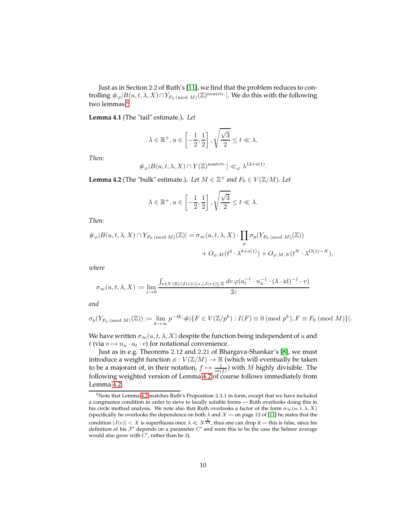Just as in Section 2.2 of Ruth's [\[11\]](#page-24-0), we find that the problem reduces to controlling  $\#_\varphi|B(u,t,\lambda,X)\cap Y_{F_0\,(\mathrm{mod}\;M)}({\mathbb Z})^{\mathrm{nontriv.}}|.$  We do this with the following two lemmas.<sup>[6](#page-9-0)</sup>

<span id="page-9-2"></span>**Lemma 4.1** (The "tail" estimate.)**.** *Let*

$$
\lambda \in \mathbb{R}^+, u \in \left[-\frac{1}{2}, \frac{1}{2}\right], \sqrt{\frac{\sqrt{3}}{2}} \le t \ll \lambda.
$$

*Then:*

$$
\#_{\varphi}|B(u,t,\lambda,X) \cap Y(\mathbb{Z})^{\text{nontriv.}}| \ll_{\varphi} \lambda^{12+o(1)}.
$$

<span id="page-9-1"></span>**Lemma 4.2** (The "bulk" estimate.). *Let*  $M \in \mathbb{Z}^+$  *and*  $F_0 \in V(\mathbb{Z}/M)$ *. Let* 

$$
\lambda \in \mathbb{R}^+, u \in \left[-\frac{1}{2}, \frac{1}{2}\right], \sqrt{\frac{\sqrt{3}}{2}} \le t \ll \lambda.
$$

*Then:*

$$
\#_{\varphi}|B(u,t,\lambda,X) \cap Y_{F_0 \pmod{M}}(\mathbb{Z})| = \sigma_{\infty}(u,t,\lambda,X) \cdot \prod_p \sigma_p(Y_{F_0 \pmod{M}}(\mathbb{Z}))
$$
  
+  $O_{\varphi,M}(t^4 \cdot \lambda^{8+o(1)}) + O_{\varphi,M,N}(t^N \cdot \lambda^{O(1)-N}),$ 

*where*

$$
\sigma_\infty(u,t,\lambda,X):=\lim_{\varepsilon\to 0}\frac{\int_{v\in V(\mathbb{R}):|I(v)|\leq \varepsilon,|J(v)|\leq X}dv\,\varphi(a_t^{-1}\cdot n_u^{-1}\cdot(\lambda\cdot\textup{id})^{-1}\cdot v)}{2\varepsilon}
$$

*and*

$$
\sigma_p(Y_{F_0 \pmod{M}}(\mathbb{Z})) := \lim_{k \to \infty} p^{-4k} \cdot \# |\{ F \in V(\mathbb{Z}/p^k) : I(F) \equiv 0 \pmod{p^k}, F \equiv F_0 \pmod{M} \}|.
$$

We have written  $\sigma_{\infty}(u, t, \lambda, X)$  despite the function being independent of  $u$  and t (via  $v \mapsto n_u \cdot a_t \cdot v$ ) for notational convenience.

Just as in e.g. Theorems 2.12 and 2.21 of Bhargava-Shankar's [\[8\]](#page-24-4), we must introduce a weight function  $\phi: V(\mathbb{Z}/M) \to \mathbb{R}$  (which will eventually be taken to be a majorant of, in their notation,  $f \mapsto \frac{1}{m(f)}$  with M highly divisible. The following weighted version of Lemma [4.2](#page-9-1) of course follows immediately from Lemma [4.2.](#page-9-1)

<span id="page-9-0"></span> $6$ Note that Lemma [4.2](#page-9-1) matches Ruth's Proposition 2.3.1 in form, except that we have included a congruence condition in order to sieve to locally soluble forms — Ruth overlooks doing this in his circle method analysis. We note also that Ruth overlooks a factor of the form  $\sigma_{\infty}(u, t, \lambda, X)$ (specifically he overlooks the dependence on both  $\lambda$  and  $X$  — on page 12 of [\[11\]](#page-24-0) he states that the condition  $|J(v)| < X$  is superfluous once  $\lambda \ll X^{\frac{1}{24}}$ , thus one can drop it — this is false, since his definition of his  $\mathcal{F}'$  depends on a parameter  $C'$  and were this to be the case the Selmer average would also grow with  $C'$ , rather than be 3).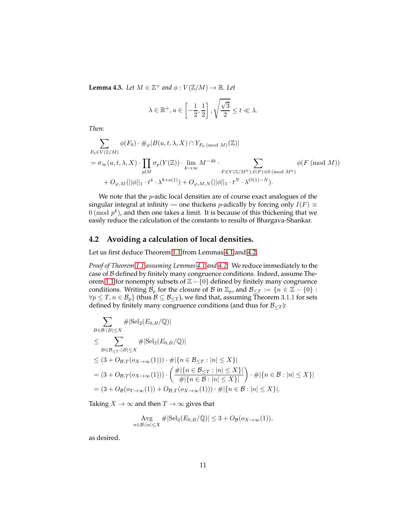<span id="page-10-0"></span>**Lemma 4.3.** *Let*  $M \in \mathbb{Z}^+$  *and*  $\phi : V(\mathbb{Z}/M) \to \mathbb{R}$ *. Let* 

$$
\lambda \in \mathbb{R}^+, u \in \left[-\frac{1}{2}, \frac{1}{2}\right], \sqrt{\frac{\sqrt{3}}{2}} \le t \ll \lambda.
$$

*Then:*

$$
\sum_{F_0 \in V(\mathbb{Z}/M)} \phi(F_0) \cdot \#_{\varphi} |B(u, t, \lambda, X) \cap Y_{F_0 \text{ (mod } M)}(\mathbb{Z})|
$$
\n
$$
= \sigma_{\infty}(u, t, \lambda, X) \cdot \prod_{p \nmid M} \sigma_p(Y(\mathbb{Z})) \cdot \lim_{k \to \infty} M^{-4k} \cdot \sum_{F \in V(\mathbb{Z}/M^k) : I(F) \equiv 0 \pmod{M^k}} \phi(F \text{ (mod } M))
$$
\n
$$
+ O_{\varphi, M}(||\phi||_1 \cdot t^4 \cdot \lambda^{8+o(1)}) + O_{\varphi, M, N}(||\phi||_1 \cdot t^N \cdot \lambda^{O(1)-N}).
$$

We note that the *p*-adic local densities are of course exact analogues of the singular integral at infinity — one thickens *p*-adically by forcing only  $I(F) \equiv$  $0 \pmod{p^k}$ , and then one takes a limit. It is because of this thickening that we easily reduce the calculation of the constants to results of Bhargava-Shankar.

## **4.2 Avoiding a calculation of local densities.**

Let us first deduce Theorem [1.1](#page-1-1) from Lemmas [4.1](#page-9-2) and [4.2.](#page-9-1)

*Proof of Theorem [1.1](#page-1-1) assuming Lemmas [4.1](#page-9-2) and [4.2.](#page-9-1)* We reduce immediately to the case of B defined by finitely many congruence conditions. Indeed, assume The-orem [1.1](#page-1-1) for nonempty subsets of  $\mathbb{Z}$  – {0} defined by finitely many congruence conditions. Writing  $\mathcal{B}_p$  for the closure of  $\mathcal{B}$  in  $\mathbb{Z}_p$ , and  $\mathcal{B}_{\leq T} := \{n \in \mathbb{Z} - \{0\} :$  $\forall p \leq T, n \in \mathcal{B}_p$  (thus  $\mathcal{B} \subseteq \mathcal{B}_{\leq T}$ ), we find that, assuming Theorem 3.1.1 for sets defined by finitely many congruence conditions (and thus for  $B_{\leq T}$ ):

$$
\sum_{B \in \mathcal{B}:|B| \leq X} #|\text{Sel}_2(E_{0,B}/\mathbb{Q})|
$$
\n
$$
\leq \sum_{B \in \mathcal{B}_{\leq T}:|B| \leq X} #|\text{Sel}_2(E_{0,B}/\mathbb{Q})|
$$
\n
$$
\leq (3 + O_{\mathcal{B},T}(o_{X \to \infty}(1))) \cdot #|\{n \in \mathcal{B}_{\leq T}: |n| \leq X\}|
$$
\n
$$
= (3 + O_{\mathcal{B},T}(o_{X \to \infty}(1))) \cdot \left( \frac{\#|\{n \in \mathcal{B}_{\leq T}: |n| \leq X\}|}{\#|\{n \in \mathcal{B}: |n| \leq X\}|} \right) \cdot #|\{n \in \mathcal{B}: |n| \leq X\}|
$$
\n
$$
= (3 + O_{\mathcal{B}}(o_{T \to \infty}(1)) + O_{\mathcal{B},T}(o_{X \to \infty}(1))) \cdot #|\{n \in \mathcal{B}: |n| \leq X\}|.
$$

Taking  $X \to \infty$  and then  $T \to \infty$  gives that

$$
\operatorname{Avg}_{n \in \mathcal{B}: |n| \le X} \#|\mathrm{Sel}_2(E_{0,B}/\mathbb{Q})| \le 3 + O_{\mathcal{B}}(o_{X \to \infty}(1)),
$$

as desired.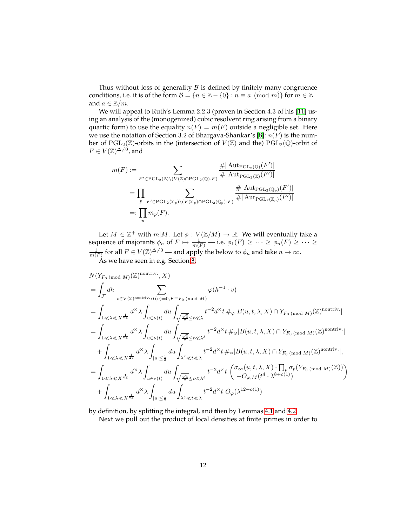Thus without loss of generality  $\beta$  is defined by finitely many congruence conditions, i.e. it is of the form  $\mathcal{B} = \{n \in \mathbb{Z} - \{0\} : n \equiv a \pmod{m}\}$  for  $m \in \mathbb{Z}^+$ and  $a \in \mathbb{Z}/m$ .

We will appeal to Ruth's Lemma 2.2.3 (proven in Section 4.3 of his [\[11\]](#page-24-0) using an analysis of the (monogenized) cubic resolvent ring arising from a binary quartic form) to use the equality  $n(F) = m(F)$  outside a negligible set. Here we use the notation of Section 3.2 of Bhargava-Shankar's [\[8\]](#page-24-4):  $n(F)$  is the number of  $PGL_2(\mathbb{Z})$ -orbits in the (intersection of  $V(\mathbb{Z})$  and the)  $PGL_2(\mathbb{Q})$ -orbit of  $F \in V(\mathbb{Z})^{\Delta \neq 0}$ , and

$$
m(F) := \sum_{F' \in \text{PGL}_2(\mathbb{Z}) \setminus (V(\mathbb{Z}) \cap \text{PGL}_2(\mathbb{Q}) \cdot F)} \frac{\#|\operatorname{Aut}_{\text{PGL}_2(\mathbb{Q})}(F')|}{\#|\operatorname{Aut}_{\text{PGL}_2(\mathbb{Z})}(F')|}
$$
  
\n
$$
= \prod_p \sum_{F' \in \text{PGL}_2(\mathbb{Z}_p) \setminus (V(\mathbb{Z}_p) \cap \text{PGL}_2(\mathbb{Q}_p) \cdot F)} \frac{\#|\operatorname{Aut}_{\text{PGL}_2(\mathbb{Q}_p)}(F')|}{\#|\operatorname{Aut}_{\text{PGL}_2(\mathbb{Z}_p)}(F')|}
$$
  
\n
$$
=: \prod_p m_p(F).
$$

Let  $M \in \mathbb{Z}^+$  with  $m|M$ . Let  $\phi: V(\mathbb{Z}/M) \to \mathbb{R}$ . We will eventually take a sequence of majorants  $\phi_n$  of  $F \mapsto \frac{1}{m(F)}$  — i.e.  $\phi_1(F) \ge \cdots \ge \phi_n(F) \ge \cdots \ge \frac{1}{m(F)}$  for all  $F \in V(\mathbb{Z})^{\Delta \ne 0}$  — and apply the below to  $\phi_n$  and take  $n \to \infty$ . As we have seen in e.g. Section [3,](#page-4-1)

$$
N(Y_{F_0 \text{ (mod } M)}(\mathbb{Z})^{\text{nontriv.}}, X)
$$
\n
$$
= \int_{\mathcal{F}} dh \sum_{v \in V(\mathbb{Z})^{\text{nontriv.}}: I(v) = 0, F \equiv F_0 \text{ (mod } M)}
$$
\n
$$
= \int_{1 \ll \lambda \ll X^{\frac{1}{24}}} d^{\times} \lambda \int_{u \in \nu(t)} du \int_{\sqrt{\frac{\sqrt{3}}{2}} \leq t \ll \lambda} t^{-2} d^{\times} t \#_{\varphi} |B(u, t, \lambda, X) \cap Y_{F_0 \text{ (mod } M)}(\mathbb{Z})^{\text{nontriv.}}|
$$
\n
$$
= \int_{1 \ll \lambda \ll X^{\frac{1}{24}}} d^{\times} \lambda \int_{u \in \nu(t)} du \int_{\sqrt{\frac{\sqrt{3}}{2}} \leq t \ll \lambda^{\delta}} t^{-2} d^{\times} t \#_{\varphi} |B(u, t, \lambda, X) \cap Y_{F_0 \text{ (mod } M)}(\mathbb{Z})^{\text{nontriv.}}|
$$
\n
$$
+ \int_{1 \ll \lambda \ll X^{\frac{1}{24}}} d^{\times} \lambda \int_{|u| \leq \frac{1}{2}} du \int_{\lambda^{\delta} \ll t \ll \lambda} t^{-2} d^{\times} t \#_{\varphi} |B(u, t, \lambda, X) \cap Y_{F_0 \text{ (mod } M)}(\mathbb{Z})^{\text{nontriv.}}|,
$$
\n
$$
= \int_{1 \ll \lambda \ll X^{\frac{1}{24}}} d^{\times} \lambda \int_{u \in \nu(t)} du \int_{\sqrt{\frac{\sqrt{3}}{2}} \leq t \ll \lambda^{\delta}} t^{-2} d^{\times} t \left( \sigma_{\infty}(u, t, \lambda, X) \cdot \prod_{p} \sigma_{p}(Y_{F_0 \text{ (mod } M)}(\mathbb{Z})) \right)
$$
\n
$$
+ \int_{1 \ll \lambda \ll X^{\frac{1}{24}}} d^{\times} \lambda \int_{|u| \leq \frac{1}{2}} du \int_{\lambda^{\delta} \ll t \ll \lambda} t^{-2} d^{\times} t \ O_{\varphi}(\lambda^{12+o(1)})
$$

by definition, by splitting the integral, and then by Lemmas [4.1](#page-9-2) and [4.2.](#page-9-1)

Next we pull out the product of local densities at finite primes in order to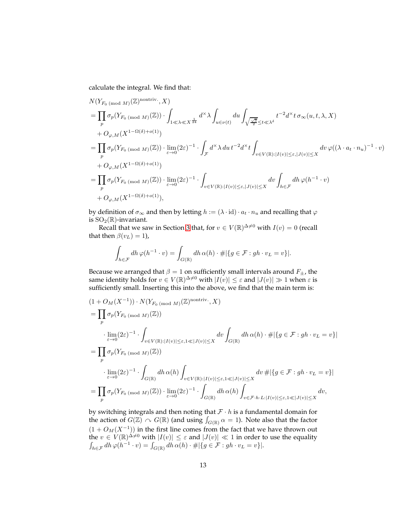calculate the integral. We find that:

$$
N(Y_{F_0 \text{ (mod } M)}(\mathbb{Z})^{\text{nontriv.}}, X)
$$
\n
$$
= \prod_p \sigma_p(Y_{F_0 \text{ (mod } M)}(\mathbb{Z})) \cdot \int_{1 \ll \lambda \ll X^{\frac{1}{24}}} d^{\times} \lambda \int_{u \in \nu(t)} du \int_{\sqrt{\frac{\sqrt{3}}{2}} \leq t \ll \lambda^{\delta}} t^{-2} d^{\times} t \sigma_{\infty}(u, t, \lambda, X)
$$
\n
$$
+ O_{\varphi, M}(X^{1-\Omega(\delta)+o(1)})
$$
\n
$$
= \prod_p \sigma_p(Y_{F_0 \text{ (mod } M)}(\mathbb{Z})) \cdot \lim_{\varepsilon \to 0} (2\varepsilon)^{-1} \cdot \int_{\mathcal{F}} d^{\times} \lambda du t^{-2} d^{\times} t \int_{v \in V(\mathbb{R}): |I(v)| \leq \varepsilon, |J(v)| \leq X} dv \varphi((\lambda \cdot a_t \cdot n_u)^{-1} \cdot v)
$$
\n
$$
+ O_{\varphi, M}(X^{1-\Omega(\delta)+o(1)})
$$
\n
$$
= \prod_p \sigma_p(Y_{F_0 \text{ (mod } M)}(\mathbb{Z})) \cdot \lim_{\varepsilon \to 0} (2\varepsilon)^{-1} \cdot \int_{v \in V(\mathbb{R}): |I(v)| \leq \varepsilon, |J(v)| \leq X} dv \int_{h \in \mathcal{F}} dh \, \varphi(h^{-1} \cdot v)
$$
\n
$$
+ O_{\varphi, M}(X^{1-\Omega(\delta)+o(1)}),
$$

by definition of  $\sigma_{\infty}$  and then by letting  $h := (\lambda \cdot id) \cdot a_t \cdot n_u$  and recalling that  $\varphi$ is  $\text{SO}_2(\mathbb{R})$ -invariant.

Recall that we saw in Section [3](#page-4-1) that, for  $v \in V(\mathbb{R})^{\Delta \neq 0}$  with  $I(v) = 0$  (recall that then  $\beta(v_L) = 1$ ),

$$
\int_{h\in\mathcal{F}} dh\,\varphi(h^{-1}\cdot v) = \int_{G(\mathbb{R})} dh\,\alpha(h)\cdot\#\,|\{g\in\mathcal{F}: gh\cdot v_L = v\}|.
$$

Because we arranged that  $\beta = 1$  on sufficiently small intervals around  $F_{\pm}$ , the same identity holds for  $v \in V(\mathbb{R})^{\Delta \neq 0}$  with  $|I(v)| \leq \varepsilon$  and  $|J(v)| \gg 1$  when  $\varepsilon$  is sufficiently small. Inserting this into the above, we find that the main term is:

$$
(1+O_M(X^{-1}))\cdot N(Y_{F_0 \text{ (mod } M)}(\mathbb{Z})^{\text{nontriv.}}, X)
$$
  
\n
$$
= \prod_p \sigma_p(Y_{F_0 \text{ (mod } M)}(\mathbb{Z}))
$$
  
\n
$$
\cdot \lim_{\varepsilon \to 0} (2\varepsilon)^{-1} \cdot \int_{v \in V(\mathbb{R}): |I(v)| \le \varepsilon, 1 \le |J(v)| \le X} dv \int_{G(\mathbb{R})} dh \,\alpha(h) \cdot \#\|\{g \in \mathcal{F} : gh \cdot v_L = v\}\|
$$
  
\n
$$
= \prod_p \sigma_p(Y_{F_0 \text{ (mod } M)}(\mathbb{Z}))
$$
  
\n
$$
\cdot \lim_{\varepsilon \to 0} (2\varepsilon)^{-1} \cdot \int_{G(\mathbb{R})} dh \,\alpha(h) \int_{v \in V(\mathbb{R}): |I(v)| \le \varepsilon, 1 \le |J(v)| \le X} dv \#\|\{g \in \mathcal{F} : gh \cdot v_L = v\}\|
$$
  
\n
$$
= \prod_p \sigma_p(Y_{F_0 \text{ (mod } M)}(\mathbb{Z})) \cdot \lim_{\varepsilon \to 0} (2\varepsilon)^{-1} \cdot \int_{G(\mathbb{R})} dh \,\alpha(h) \int_{v \in \mathcal{F} \cdot h \cdot L: |I(v)| \le \varepsilon, 1 \le |J(v)| \le X} dv,
$$

by switching integrals and then noting that  $\mathcal{F} \cdot h$  is a fundamental domain for the action of  $G(\mathbb{Z}) \curvearrowright G(\mathbb{R})$  (and using  $\int_{G(\mathbb{R})} \alpha = 1$ ). Note also that the factor  $(1 + O_M(X^{-1}))$  in the first line comes from the fact that we have thrown out the  $v \in V(\mathbb{R})^{\Delta \neq 0}$  with  $|I(v)| \leq \varepsilon$  and  $|J(v)| \ll 1$  in order to use the equality  $\int_{h\in\mathcal{F}} dh\,\varphi(h^{-1}\cdot v)=\int_{G(\mathbb{R})} dh\,\alpha(h)\cdot\#\,|\{g\in\mathcal{F}: gh\cdot v_L=v\}|.$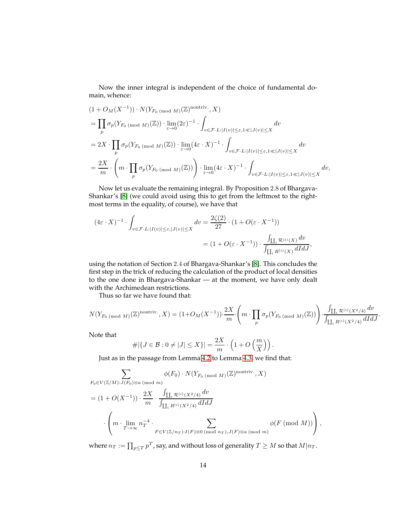Now the inner integral is independent of the choice of fundamental domain, whence:

$$
(1 + O_M(X^{-1})) \cdot N(Y_{F_0 \text{ (mod } M)}(\mathbb{Z})^{\text{nontriv.}}, X)
$$
  
\n
$$
= \prod_p \sigma_p(Y_{F_0 \text{ (mod } M)}(\mathbb{Z})) \cdot \lim_{\varepsilon \to 0} (2\varepsilon)^{-1} \cdot \int_{v \in \mathcal{F} \cdot L : |I(v)| \le \varepsilon, 1 \ll |J(v)| \le X} dv
$$
  
\n
$$
= 2X \cdot \prod_p \sigma_p(Y_{F_0 \text{ (mod } M)}(\mathbb{Z})) \cdot \lim_{\varepsilon \to 0} (4\varepsilon \cdot X)^{-1} \cdot \int_{v \in \mathcal{F} \cdot L : |I(v)| \le \varepsilon, 1 \ll |J(v)| \le X} dv
$$
  
\n
$$
= \frac{2X}{m} \cdot \left( m \cdot \prod_p \sigma_p(Y_{F_0 \text{ (mod } M)}(\mathbb{Z})) \right) \cdot \lim_{\varepsilon \to 0} (4\varepsilon \cdot X)^{-1} \cdot \int_{v \in \mathcal{F} \cdot L : |I(v)| \le \varepsilon, 1 \ll |J(v)| \le X} dv,
$$

Now let us evaluate the remaining integral. By Proposition 2.8 of Bhargava-Shankar's [\[8\]](#page-24-4) (we could avoid using this to get from the leftmost to the rightmost terms in the equality, of course), we have that

$$
(4\varepsilon \cdot X)^{-1} \cdot \int_{v \in \mathcal{F} \cdot L: |I(v)| \le \varepsilon, |J(v)| \le X} dv = \frac{2\zeta(2)}{27} \cdot (1 + O(\varepsilon \cdot X^{-1}))
$$

$$
= (1 + O(\varepsilon \cdot X^{-1})) \cdot \frac{\int_{\coprod_i \mathcal{R}^{(i)}(X)} dv}{\int_{\coprod_i R^{(i)}(X)} dI dJ},
$$

using the notation of Section 2.4 of Bhargava-Shankar's [\[8\]](#page-24-4). This concludes the first step in the trick of reducing the calculation of the product of local densities to the one done in Bhargava-Shankar — at the moment, we have only dealt with the Archimedean restrictions.

Thus so far we have found that:

$$
N(Y_{F_0 \pmod{M}}(\mathbb{Z})^{\text{nontriv.}}, X) = (1+O_M(X^{-1})) \cdot \frac{2X}{m} \cdot \left(m \cdot \prod_p \sigma_p(Y_{F_0 \pmod{M}}(\mathbb{Z}))\right) \cdot \frac{\int_{\coprod_i \mathcal{R}^{(i)}(X^2/4)} dv}{\int_{\coprod_i R^{(i)}(X^2/4)} dI dJ}.
$$

Note that

$$
\#\left|\left\{J\in\mathcal{B}:0\neq|J|\leq X\right\}\right|=\frac{2X}{m}\cdot\left(1+O\left(\frac{m}{X}\right)\right).
$$

Just as in the passage from Lemma [4.2](#page-9-1) to Lemma [4.3,](#page-10-0) we find that:

$$
\sum_{F_0 \in V(\mathbb{Z}/M): J(F_0) \equiv a \pmod{m}} \phi(F_0) \cdot N(Y_{F_0 \pmod{M}}(\mathbb{Z})^{\text{nontriv.}}, X)
$$
\n
$$
= (1 + O(X^{-1})) \cdot \frac{2X}{m} \cdot \frac{\int_{\prod_i \mathcal{R}^{(i)}(X^2/4)} dv}{\int_{\prod_i R^{(i)}(X^2/4)} dI dJ}
$$
\n
$$
\cdot \left(m \cdot \lim_{T \to \infty} n_T^{-4} \cdot \sum_{F \in V(\mathbb{Z}/n_T): I(F) \equiv 0 \pmod{n_T}, J(F) \equiv a \pmod{m}} \phi(F \pmod{M}))\right),
$$

where  $n_T := \prod_{p \le T} p^T$ , say, and without loss of generality  $T \ge M$  so that  $M|n_T$ .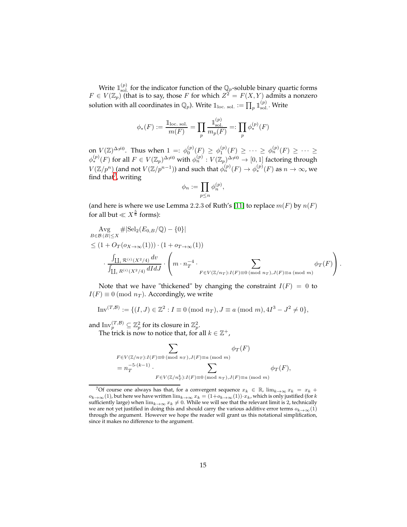Write  $\mathbb{1}_{\text{sol}}^{(p)}$  $\mathcal{L}_{\text{sol}}^{(p)}$  for the indicator function of the  $\mathbb{Q}_p$ -soluble binary quartic forms  $F \in V(\mathbb{Z}_p)$  (that is to say, those F for which  $Z^2 = F(X, Y)$  admits a nonzero solution with all coordinates in  $\mathbb{Q}_p$ ). Write  $\mathbb{1}_{\text{loc. sol.}} := \prod_p \mathbb{1}_{\text{sol}}^{(p)}$  $_{\rm sol.}^{\scriptscriptstyle{(p)}}$ . Write

$$
\phi_*(F) := \frac{\mathbb{1}_{\text{loc. sol.}}}{m(F)} = \prod_p \frac{\mathbb{1}_{\text{sol.}}^{(p)}}{m_p(F)} =: \prod_p \phi_*^{(p)}(F)
$$

on  $V(\mathbb{Z})^{\Delta \neq 0}$ . Thus when  $1 =: \phi_0^{(p)}(F) \geq \phi_1^{(p)}(F) \geq \cdots \geq \phi_n^{(p)}(F) \geq \cdots \geq$  $\phi_*^{(p)}(F)$  for all  $F\in V(\mathbb{Z}_p)^{\Delta\neq 0}$  with  $\phi_n^{(p)}: V(\mathbb{Z}_p)^{\Delta\neq 0}\to [0,1]$  factoring through  $V(\mathbb{Z}/p^n)$  (and not  $V(\mathbb{Z}/p^{n-1})$ ) and such that  $\phi_n^{(p)}(F) \to \phi_*^{(p)}(F)$  as  $n \to \infty$ , we find that<sup>[7](#page-14-0)</sup>, writing

$$
\phi_n:=\prod_{p\leq n}\phi_n^{(p)},
$$

(and here is where we use Lemma 2.2.3 of Ruth's [\[11\]](#page-24-0) to replace  $m(F)$  by  $n(F)$ for all but  $\ll X^{\frac{5}{6}}$  forms):

$$
\operatorname{Avg}_{B\in\mathcal{B}:|B|\leq X} \#|\operatorname{Sel}_{2}(E_{0,B}/\mathbb{Q}) - \{0\}|
$$
\n
$$
\leq (1 + O_{T}(o_{X\to\infty}(1))) \cdot (1 + o_{T\to\infty}(1))
$$
\n
$$
\cdot \frac{\int_{\coprod_{i} \mathcal{R}^{(i)}(X^{2}/4)} dv}{\int_{\coprod_{i} R^{(i)}(X^{2}/4)} dI dJ} \cdot \left(m \cdot n_{T}^{-4} \cdot \sum_{F \in V(\mathbb{Z}/n_{T}): I(F) \equiv 0 \pmod{n_{T}}, J(F) \equiv a \pmod{m}} \phi_{T}(F)\right).
$$

Note that we have "thickened" by changing the constraint  $I(F) = 0$  to  $I(F) \equiv 0 \pmod{n_T}$ . Accordingly, we write

Inv
$$
(T,B) := \{(I, J) \in \mathbb{Z}^2 : I \equiv 0 \pmod{n_T}, J \equiv a \pmod{m}, 4I^3 - J^2 \neq 0\},\
$$

and  $\text{Inv}_p^{(T,\mathcal{B})} \subseteq \mathbb{Z}_p^2$  for its closure in  $\mathbb{Z}_p^2$ .

The trick is now to notice that, for all  $k \in \mathbb{Z}^+$ ,

$$
\sum_{\substack{F \in V(\mathbb{Z}/n_T): I(F) \equiv 0 \pmod{n_T}, J(F) \equiv a \pmod{m}}} \phi_T(F)
$$
  
=  $n_T^{-5 \cdot (k-1)}$ .  

$$
\sum_{\substack{F \in V(\mathbb{Z}/n_T^k): I(F) \equiv 0 \pmod{n_T}, J(F) \equiv a \pmod{m}}} \phi_T(F),
$$

<span id="page-14-0"></span><sup>&</sup>lt;sup>7</sup>Of course one always has that, for a convergent sequence  $x_k$  ∈ ℝ, lim $_{k\to\infty} x_k$  =  $x_k$  +  $o_{k\to\infty}(1)$ , but here we have written  $\lim_{k\to\infty}x_k=(1+o_{k\to\infty}(1))\cdot x_k$ , which is only justified (for k sufficiently large) when  $\lim_{k\to\infty} x_k \neq 0$ . While we will see that the relevant limit is 2, technically we are not yet justified in doing this and should carry the various additive error terms  $o_{k\to\infty}(1)$ through the argument. However we hope the reader will grant us this notational simplification, since it makes no difference to the argument.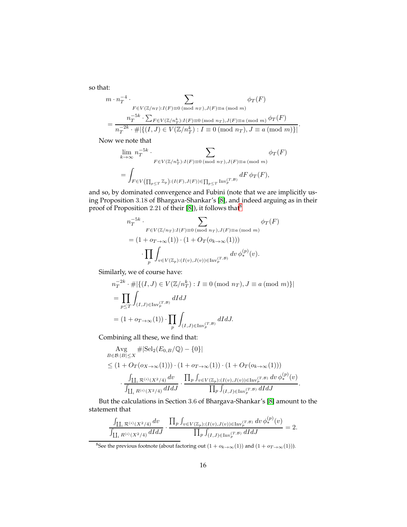so that:

$$
m \cdot n_T^{-4} \cdot \sum_{F \in V(\mathbb{Z}/n_T): I(F) \equiv 0 \pmod{n_T}, J(F) \equiv a \pmod{m}} \phi_T(F)
$$
  
= 
$$
\frac{n_T^{-5k} \cdot \sum_{F \in V(\mathbb{Z}/n_T^k): I(F) \equiv 0 \pmod{n_T}, J(F) \equiv a \pmod{m}} \phi_T(F)}{n_T^{-2k} \cdot \# \{ \{ (I, J) \in V(\mathbb{Z}/n_T^k): I \equiv 0 \pmod{n_T}, J \equiv a \pmod{m} \} \}}.
$$

Now we note that

$$
\lim_{k \to \infty} n_T^{-5k} \cdot \sum_{F \in V(\mathbb{Z}/n_T^k): I(F) \equiv 0 \pmod{n_T}, J(F) \equiv a \pmod{m}} \phi_T(F)
$$

$$
= \int_{F \in V(\prod_{p \le T} \mathbb{Z}_p): (I(F), J(F)) \in \prod_{p \le T} \text{Inv}_p^{(T, \mathcal{B})}} dF \phi_T(F),
$$

and so, by dominated convergence and Fubini (note that we are implicitly using Proposition 3.18 of Bhargava-Shankar's [\[8\]](#page-24-4), and indeed arguing as in their proof of Proposition 2.21 of their [\[8\]](#page-24-4)), it follows that  $8$ 

$$
n_T^{-5k} \cdot \sum_{F \in V(\mathbb{Z}/n_T): I(F) \equiv 0 \pmod{n_T}, J(F) \equiv a \pmod{m}} \phi_T(F)
$$
  
= 
$$
(1 + o_{T \to \infty}(1)) \cdot (1 + O_T(o_{k \to \infty}(1)))
$$

$$
\cdot \prod_p \int_{v \in V(\mathbb{Z}_p): (I(v), J(v)) \in \text{Inv}_p^{(T, \mathcal{B})}} dv \, \phi_*^{(p)}(v).
$$

Similarly, we of course have:

$$
n_T^{-2k} \cdot \#|\{(I, J) \in V(\mathbb{Z}/n_T^k) : I \equiv 0 \pmod{n_T}, J \equiv a \pmod{m}\}|
$$
  
= 
$$
\prod_{p \le T} \int_{(I, J) \in \text{Inv}_p^{(T, \mathcal{B})}} dIdJ
$$
  
= 
$$
(1 + o_{T \to \infty}(1)) \cdot \prod_p \int_{(I, J) \in \text{Inv}_p^{(T, \mathcal{B})}} dIdJ.
$$

Combining all these, we find that:

$$
\begin{aligned}\n&\text{Avg} \quad \#\|\text{Sel}_2(E_{0,B}/\mathbb{Q}) - \{0\}| \\
&\leq (1 + O_T(o_{X \to \infty}(1))) \cdot (1 + o_{T \to \infty}(1)) \cdot (1 + O_T(o_{k \to \infty}(1))) \\
&\cdot \frac{\int_{\coprod_i \mathcal{R}^{(i)}(X^2/4)} dv}{\int_{\coprod_i R^{(i)}(X^2/4)} dIdJ} \cdot \frac{\prod_p \int_{v \in V(\mathbb{Z}_p) : (I(v), J(v)) \in \text{Inv}_p^{(T,B)} dv \, \phi_*^{(p)}(v)}{\prod_p \int_{(I,J) \in \text{Inv}_p^{(T,B)}} dIdJ}\n\end{aligned}
$$

.

But the calculations in Section 3.6 of Bhargava-Shankar's [\[8\]](#page-24-4) amount to the statement that

$$
\frac{\int_{\coprod_i R^{(i)}(X^2/4)}dv}{\int_{\coprod_i R^{(i)}(X^2/4)}dIdJ}\cdot \frac{\prod_p \int_{v\in V(\mathbb{Z}_p):(I(v),J(v))\in \operatorname{Inv}_p^{(T,B)}}dv\,\phi_*^{(p)}(v)}{\prod_p \int_{(I,J)\in \operatorname{Inv}_p^{(T,B)}}dIdJ}=2.
$$

<span id="page-15-0"></span><sup>8</sup>See the previous footnote (about factoring out  $(1 + o_{k \to \infty}(1))$  and  $(1 + o_{T \to \infty}(1))$ ).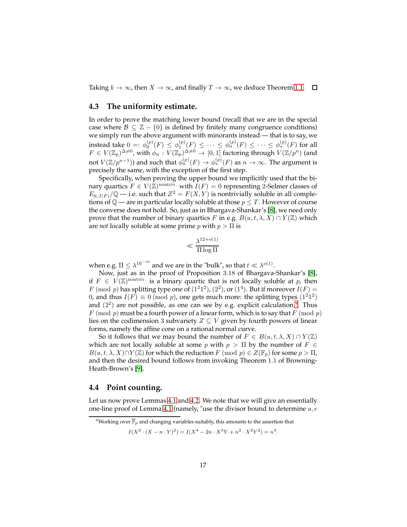Taking  $k \to \infty$ , then  $X \to \infty$ , and finally  $T \to \infty$ , we deduce Theorem [1.1.](#page-1-1)  $\Box$ 

#### <span id="page-16-1"></span>**4.3 The uniformity estimate.**

In order to prove the matching lower bound (recall that we are in the special case where  $\mathcal{B} \subseteq \mathbb{Z} - \{0\}$  is defined by finitely many congruence conditions) we simply run the above argument with minorants instead — that is to say, we instead take  $0 =: \phi_0^{(p)}(F) \le \phi_1^{(p)}(F) \le \cdots \le \phi_n^{(p)}(F) \le \cdots \le \phi_*^{(p)}(F)$  for all  $F \in V(\mathbb{Z}_p)^{\Delta \neq 0}$ , with  $\phi_n : V(\mathbb{Z}_p)^{\Delta \neq 0} \to [0,1]$  factoring through  $V(\mathbb{Z}/p^n)$  (and not  $V(\mathbb{Z}/p^{n-1})$ ) and such that  $\phi_n^{(p)}(F) \to \phi_*^{(p)}(F)$  as  $n \to \infty$ . The argument is precisely the same, with the exception of the first step.

Specifically, when proving the upper bound we implicitly used that the binary quartics  $F \in V(\mathbb{Z})^{\text{nontriv.}}$  with  $I(F) = 0$  representing 2-Selmer classes of  $E_{0,J(F)}(\mathbb{Q} - \text{i.e.} \text{ such that } Z^2 = F(X,Y) \text{ is nontrivially soluble in all comple-}$ tions of  $\mathbb{Q}$  — are in particular locally soluble at those  $p \leq T$ . However of course the converse does not hold. So, just as in Bhargava-Shankar's [\[8\]](#page-24-4), we need only prove that the number of binary quartics F in e.g.  $B(u, t, \lambda, X) \cap Y(\mathbb{Z})$  which are *not* locally soluble at some prime  $p$  with  $p > \Pi$  is

$$
\ll \frac{\lambda^{12+o(1)}}{\Pi \log \Pi}
$$

when e.g.  $\Pi \leq \lambda^{10^{-10}}$  and we are in the "bulk", so that  $t \ll \lambda^{o(1)}$ .

Now, just as in the proof of Proposition 3.18 of Bhargava-Shankar's [\[8\]](#page-24-4), if  $F \in V(\mathbb{Z})^{\text{nontriv}}$  is a binary quartic that is not locally soluble at p, then  $F \pmod{p}$  has splitting type one of  $(1^21^2)$ ,  $(2^2)$ , or  $(1^4)$ . But if moreover  $I(F) =$ 0, and thus  $I(F) \equiv 0 \pmod{p}$ , one gets much more: the splitting types  $(1^21^2)$ and  $(2^2)$  are not possible, as one can see by e.g. explicit calculation.<sup>[9](#page-16-0)</sup> Thus  $F \pmod{p}$  must be a fourth power of a linear form, which is to say that  $F \pmod{p}$ lies on the codimension 3 subvariety  $Z \subseteq V$  given by fourth powers of linear forms, namely the affine cone on a rational normal curve.

So it follows that we may bound the number of  $F \in B(u,t,\lambda,X) \cap Y(\mathbb{Z})$ which are not locally soluble at some p with  $p > \Pi$  by the number of  $F \in$  $B(u, t, \lambda, X) \cap Y(\mathbb{Z})$  for which the reduction  $F \pmod{p} \in Z(\mathbb{F}_p)$  for some  $p > \Pi$ , and then the desired bound follows from invoking Theorem 1.1 of Browning-Heath-Brown's [\[9\]](#page-24-9).

#### **4.4 Point counting.**

Let us now prove Lemmas [4.1](#page-9-2) and [4.2.](#page-9-1) We note that we will give an essentially one-line proof of Lemma [4.1](#page-9-2) (namely, "use the divisor bound to determine  $a, e$ 

$$
I(X^{2} \cdot (X - n \cdot Y)^{2}) = I(X^{4} - 2n \cdot X^{3}Y + n^{2} \cdot X^{2}Y^{2}) = n^{4}.
$$

<span id="page-16-0"></span><sup>&</sup>lt;sup>9</sup>Working over  $\overline{\mathbb{F}}_p$  and changing variables suitably, this amounts to the assertion that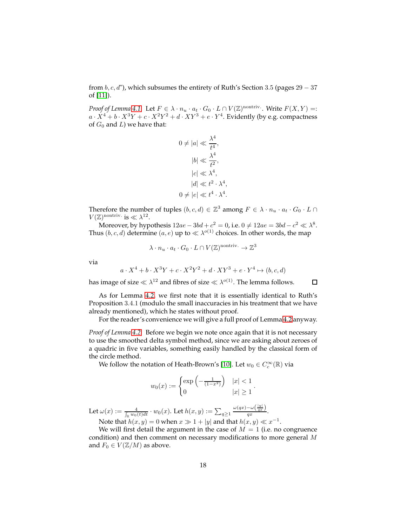from  $b, c, d$ "), which subsumes the entirety of Ruth's Section 3.5 (pages 29 – 37 of [\[11\]](#page-24-0)).

*Proof of Lemma* [4.1.](#page-9-2) Let  $F \in \lambda \cdot n_u \cdot a_t \cdot G_0 \cdot L \cap V(\mathbb{Z})^{\text{nontriv}}$ . Write  $F(X, Y) =$ :  $a \cdot X^4 + b \cdot X^3Y + c \cdot X^2Y^2 + d \cdot XY^3 + e \cdot Y^4$ . Evidently (by e.g. compactness of  $G_0$  and  $L$ ) we have that:

$$
0 \neq |a| \ll \frac{\lambda^4}{t^4},
$$
  
\n
$$
|b| \ll \frac{\lambda^4}{t^2},
$$
  
\n
$$
|c| \ll \lambda^4,
$$
  
\n
$$
|d| \ll t^2 \cdot \lambda^4,
$$
  
\n
$$
0 \neq |e| \ll t^4 \cdot \lambda^4.
$$

,

Therefore the number of tuples  $(b, c, d) \in \mathbb{Z}^3$  among  $F \in \lambda \cdot n_u \cdot a_t \cdot G_0 \cdot L \cap$  $V(\mathbb{Z})^{\text{nontriv.}}$  is  $\ll \lambda^{12}$ .

Moreover, by hypothesis  $12ae - 3bd + c^2 = 0$ , i.e.  $0 \neq 12ae = 3bd - c^2 \ll \lambda^8$ . Thus  $(b, c, d)$  determine  $(a, e)$  up to  $\ll \lambda^{o(1)}$  choices. In other words, the map

$$
\lambda \cdot n_u \cdot a_t \cdot G_0 \cdot L \cap V(\mathbb{Z})^{\text{nontriv.}} \to \mathbb{Z}^3
$$

via

$$
a \cdot X^4 + b \cdot X^3 Y + c \cdot X^2 Y^2 + d \cdot XY^3 + e \cdot Y^4 \mapsto (b, c, d)
$$

has image of size  $\ll \lambda^{12}$  and fibres of size  $\ll \lambda^{o(1)}$ . The lemma follows.

 $\Box$ 

As for Lemma [4.2,](#page-9-1) we first note that it is essentially identical to Ruth's Proposition 3.4.1 (modulo the small inaccuracies in his treatment that we have already mentioned), which he states without proof.

For the reader's convenience we will give a full proof of Lemma [4.2](#page-9-1) anyway.

*Proof of Lemma [4.2.](#page-9-1)* Before we begin we note once again that it is not necessary to use the smoothed delta symbol method, since we are asking about zeroes of a quadric in five variables, something easily handled by the classical form of the circle method.

We follow the notation of Heath-Brown's [\[10\]](#page-24-10). Let  $w_0 \in C_c^{\infty}(\mathbb{R})$  via

$$
w_0(x) := \begin{cases} \exp\left(-\frac{1}{(1-x^2)}\right) & |x| < 1 \\ 0 & |x| \ge 1 \end{cases}.
$$

Let  $\omega(x):=\frac{4}{\int_{\mathbb{R}}w_0(t)dt}\cdot w_0(x).$  Let  $h(x,y):=\sum_{q\geq 1}$  $\omega(qx)-\omega\left(\frac{\|y\|}{qx}\right)$  $\frac{d}{dx}$ . Note that  $h(x, y) = 0$  when  $x \gg 1 + |y|$  and that  $h(x, y) \ll x^{-1}$ .

We will first detail the argument in the case of  $M = 1$  (i.e. no congruence condition) and then comment on necessary modifications to more general M and  $F_0 \in V(\mathbb{Z}/M)$  as above.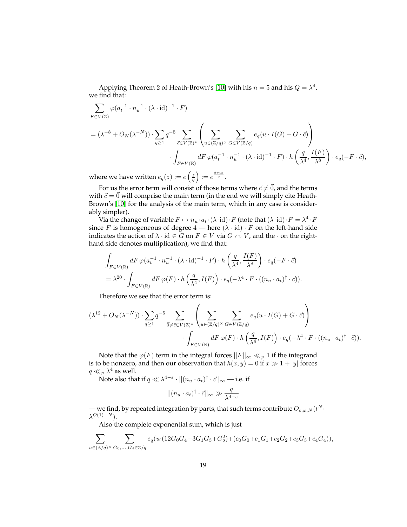Applying Theorem 2 of Heath-Brown's [\[10\]](#page-24-10) with his  $n = 5$  and his  $Q = \lambda^4$ , we find that:

$$
\sum_{F \in V(\mathbb{Z})} \varphi(a_t^{-1} \cdot n_u^{-1} \cdot (\lambda \cdot \mathrm{id})^{-1} \cdot F)
$$
\n
$$
= (\lambda^{-8} + O_N(\lambda^{-N})) \cdot \sum_{q \ge 1} q^{-5} \sum_{\vec{c} \in V(\mathbb{Z})^*} \left( \sum_{u \in (\mathbb{Z}/q)^\times} \sum_{G \in V(\mathbb{Z}/q)} e_q(u \cdot I(G) + G \cdot \vec{c}) \right)
$$
\n
$$
\cdot \int_{F \in V(\mathbb{R})} dF \varphi(a_t^{-1} \cdot n_u^{-1} \cdot (\lambda \cdot \mathrm{id})^{-1} \cdot F) \cdot h\left(\frac{q}{\lambda^4}, \frac{I(F)}{\lambda^8}\right) \cdot e_q(-F \cdot \vec{c}),
$$

where we have written  $e_q(z) := e\left(\frac{z}{q}\right) := e^{\frac{2\pi i z}{q}}$ .

For us the error term will consist of those terms where  $\vec{c} \neq \vec{0}$ , and the terms with  $\vec{c} = \vec{0}$  will comprise the main term (in the end we will simply cite Heath-Brown's [\[10\]](#page-24-10) for the analysis of the main term, which in any case is considerably simpler).

Via the change of variable  $F \mapsto n_u \cdot a_t \cdot (\lambda \cdot \text{id}) \cdot F$  (note that  $(\lambda \cdot \text{id}) \cdot F = \lambda^4 \cdot F$ since F is homogeneous of degree  $4$  — here  $(\lambda \cdot id) \cdot F$  on the left-hand side indicates the action of  $\lambda \cdot id \in G$  on  $F \in V$  via  $G \cap V$ , and the  $\cdot$  on the righthand side denotes multiplication), we find that:

$$
\int_{F \in V(\mathbb{R})} dF \, \varphi(a_t^{-1} \cdot n_u^{-1} \cdot (\lambda \cdot \mathrm{id})^{-1} \cdot F) \cdot h\left(\frac{q}{\lambda^4}, \frac{I(F)}{\lambda^8}\right) \cdot e_q(-F \cdot \vec{c})
$$
\n
$$
= \lambda^{20} \cdot \int_{F \in V(\mathbb{R})} dF \, \varphi(F) \cdot h\left(\frac{q}{\lambda^4}, I(F)\right) \cdot e_q(-\lambda^4 \cdot F \cdot ((n_u \cdot a_t)^{\dagger} \cdot \vec{c})).
$$

Therefore we see that the error term is:

$$
(\lambda^{12} + O_N(\lambda^{-N})) \cdot \sum_{q \ge 1} q^{-5} \sum_{\vec{0} \neq \vec{c} \in V(\mathbb{Z})^*} \left( \sum_{u \in (\mathbb{Z}/q)^{\times}} \sum_{G \in V(\mathbb{Z}/q)} e_q(u \cdot I(G) + G \cdot \vec{c}) \right) \cdot \int_{F \in V(\mathbb{R})} dF \, \varphi(F) \cdot h \left( \frac{q}{\lambda^4}, I(F) \right) \cdot e_q(-\lambda^4 \cdot F \cdot ((n_u \cdot a_t)^{\dagger} \cdot \vec{c})).
$$

Note that the  $\varphi(F)$  term in the integral forces  $||F||_{\infty} \ll_{\varphi} 1$  if the integrand is to be nonzero, and then our observation that  $h(x, y) = 0$  if  $x \gg 1 + |y|$  forces  $q \ll_{\varphi} \lambda^4$  as well.

Note also that if  $q \ll \lambda^{4-\varepsilon} \cdot ||(n_u \cdot a_t)^{\dagger} \cdot \vec{c}||_{\infty}$  — i.e. if

$$
||(n_u\cdot a_t)^\dagger\cdot\vec{c}||_\infty\gg \frac{q}{\lambda^{4-\varepsilon}}
$$

— we find, by repeated integration by parts, that such terms contribute  $O_{\varepsilon,\varphi,N}(t^N \cdot$  $\lambda^{O(1)-N}).$ 

Also the complete exponential sum, which is just

$$
\sum_{u \in (\mathbb{Z}/q)^{\times}} \sum_{G_0, \dots, G_4 \in \mathbb{Z}/q} e_q(u \cdot (12G_0G_4 - 3G_1G_3 + G_2^2) + (c_0G_0 + c_1G_1 + c_2G_2 + c_3G_3 + c_4G_4)),
$$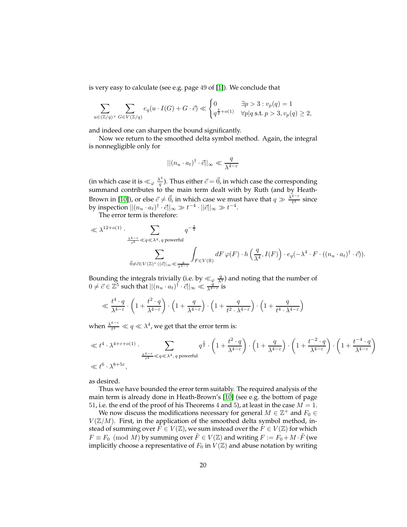is very easy to calculate (see e.g. page 49 of [\[1\]](#page-24-7)). We conclude that

$$
\sum_{u \in (\mathbb{Z}/q)^{\times}} \sum_{G \in V(\mathbb{Z}/q)} e_q(u \cdot I(G) + G \cdot \vec{c}) \ll \begin{cases} 0 & \exists p > 3 : v_p(q) = 1 \\ q^{\frac{7}{2} + o(1)} & \forall p | q \text{ s.t. } p > 3, v_p(q) \ge 2, \end{cases}
$$

and indeed one can sharpen the bound significantly.

Now we return to the smoothed delta symbol method. Again, the integral is nonnegligible only for

$$
||(n_u \cdot a_t)^{\dagger} \cdot \vec{c}||_{\infty} \ll \frac{q}{\lambda^{4-\varepsilon}}
$$

(in which case it is  $\ll_\varphi \frac{\lambda^4}{q}$  $\frac{d^4}{q}$ ). Thus either  $\vec{c} = \vec{0}$ , in which case the corresponding summand contributes to the main term dealt with by Ruth (and by Heath-Brown in [\[10\]](#page-24-10)), or else  $\vec{c} \neq \vec{0}$ , in which case we must have that  $q \gg \frac{\lambda^{4-\epsilon}}{t^4}$  $\frac{1}{t^4}$  since by inspection  $||(n_u \cdot a_t)^{\dagger} \cdot \vec{c}||_{\infty} \gg t^{-4} \cdot ||\vec{c}||_{\infty} \gg t^{-4}$ .

The error term is therefore:

$$
\ll \lambda^{12+o(1)} \cdot \sum_{\frac{\lambda^{4-\varepsilon}}{t^4} \ll q \ll \lambda^4, \, q \text{ powerful}} q^{-\frac{3}{2}}\\ \sum_{\vec{0} \neq \vec{c} \in V(\mathbb{Z})^* : ||\vec{c}||_\infty \ll \frac{q}{\lambda^{4-\varepsilon}}} \int_{F \in V(\mathbb{R})} dF \, \varphi(F) \cdot h\left(\frac{q}{\lambda^4}, I(F)\right) \cdot e_q(-\lambda^4 \cdot F \cdot ((n_u \cdot a_t)^\dagger \cdot \vec{c})).
$$

Bounding the integrals trivially (i.e. by  $\ll_{\varphi} \frac{q}{\lambda^4}$ ) and noting that the number of  $0 \neq \vec{c} \in \mathbb{Z}^5$  such that  $||(n_u \cdot a_t)^{\dagger} \cdot \vec{c}||_{\infty} \ll \frac{q}{\lambda^{4-\epsilon}}$  is

$$
\ll \frac{t^4 \cdot q}{\lambda^{4-\varepsilon}} \cdot \left(1 + \frac{t^2 \cdot q}{\lambda^{4-\varepsilon}}\right) \cdot \left(1 + \frac{q}{\lambda^{4-\varepsilon}}\right) \cdot \left(1 + \frac{q}{t^2 \cdot \lambda^{4-\varepsilon}}\right) \cdot \left(1 + \frac{q}{t^4 \cdot \lambda^{4-\varepsilon}}\right)
$$

when  $\frac{\lambda^{4-\varepsilon}}{t^4}$  $\frac{d^{4-\varepsilon}}{t^4} \ll q \ll \lambda^4$ , we get that the error term is:

$$
\ll t^4 \cdot \lambda^{4+\varepsilon+o(1)} \cdot \sum_{\frac{\lambda^{4-\varepsilon}}{t^4} \ll q \ll \lambda^4, \ q \text{ powerful}} q^{\frac{1}{2}} \cdot \left(1 + \frac{t^2 \cdot q}{\lambda^{4-\varepsilon}}\right) \cdot \left(1 + \frac{q}{\lambda^{4-\varepsilon}}\right) \cdot \left(1 + \frac{t^{-2} \cdot q}{\lambda^{4-\varepsilon}}\right) \cdot \left(1 + \frac{t^{-4} \cdot q}{\lambda^{4-\varepsilon}}\right)
$$
  

$$
\ll t^6 \cdot \lambda^{8+5\varepsilon},
$$

as desired.

Thus we have bounded the error term suitably. The required analysis of the main term is already done in Heath-Brown's [\[10\]](#page-24-10) (see e.g. the bottom of page 51, i.e. the end of the proof of his Theorems 4 and 5), at least in the case  $M = 1$ .

We now discuss the modifications necessary for general  $M \in \mathbb{Z}^+$  and  $F_0 \in \mathbb{Z}^+$  $V(\mathbb{Z}/M)$ . First, in the application of the smoothed delta symbol method, instead of summing over  $F \in V(\mathbb{Z})$ , we sum instead over the  $F \in V(\mathbb{Z})$  for which  $F \equiv F_0 \pmod{M}$  by summing over  $\tilde{F} \in V(\mathbb{Z})$  and writing  $F := F_0 + M \cdot \tilde{F}$  (we implicitly choose a representative of  $F_0$  in  $V(\mathbb{Z})$  and abuse notation by writing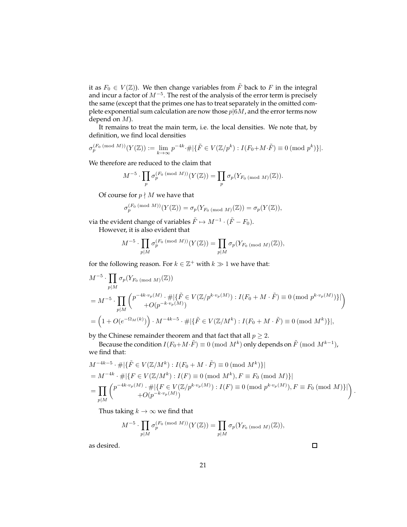it as  $F_0 \in V(\mathbb{Z})$ ). We then change variables from  $\tilde{F}$  back to F in the integral and incur a factor of  $M^{-5}$ . The rest of the analysis of the error term is precisely the same (except that the primes one has to treat separately in the omitted complete exponential sum calculation are now those  $p|6M$ , and the error terms now depend on M).

It remains to treat the main term, i.e. the local densities. We note that, by definition, we find local densities

$$
\sigma_p^{(F_0 \pmod{M})}(Y(\mathbb{Z})) := \lim_{k \to \infty} p^{-4k} \cdot \# \{ \{\tilde{F} \in V(\mathbb{Z}/p^k) : I(F_0 + M \cdot \tilde{F}) \equiv 0 \pmod{p^k} \} |.
$$

We therefore are reduced to the claim that

$$
M^{-5} \cdot \prod_p \sigma_p^{(F_0 \pmod{M})}(Y(\mathbb{Z})) = \prod_p \sigma_p(Y_{F_0 \pmod{M}}(\mathbb{Z})).
$$

Of course for  $p \nmid M$  we have that

$$
\sigma_p^{(F_0 \pmod{M})}(Y(\mathbb{Z})) = \sigma_p(Y_{F_0 \pmod{M}}(\mathbb{Z})) = \sigma_p(Y(\mathbb{Z})),
$$

via the evident change of variables  $\tilde{F} \mapsto M^{-1} \cdot (\tilde{F} - F_0)$ . However, it is also evident that

$$
M^{-5} \cdot \prod_{p \mid M} \sigma_p^{(F_0 \pmod{M})}(Y(\mathbb{Z})) = \prod_{p \mid M} \sigma_p(Y_{F_0 \pmod{M}}(\mathbb{Z})),
$$

for the following reason. For  $k \in \mathbb{Z}^+$  with  $k \gg 1$  we have that:

$$
M^{-5} \cdot \prod_{p|M} \sigma_p(Y_{F_0 \text{ (mod } M)}(\mathbb{Z}))
$$
  
=  $M^{-5} \cdot \prod_{p|M} \left( p^{-4k \cdot v_p(M)} \cdot \# \Big| \{ \tilde{F} \in V(\mathbb{Z}/p^{k \cdot v_p(M)}) : I(F_0 + M \cdot \tilde{F}) \equiv 0 \pmod{p^{k \cdot v_p(M)}} \} \Big|$   
=  $\left( 1 + O(e^{-\Omega_M(k)}) \right) \cdot M^{-4k - 5} \cdot \# \Big| \{ \tilde{F} \in V(\mathbb{Z}/M^k) : I(F_0 + M \cdot \tilde{F}) \equiv 0 \pmod{M^k} \} \Big|,$ 

by the Chinese remainder theorem and that fact that all  $p \geq 2$ .

Because the condition  $I(F_0 + M \cdot \tilde{F}) \equiv 0 \pmod{M^k}$  only depends on  $\tilde{F} \pmod{M^{k-1}}$ , we find that:

$$
M^{-4k-5} \cdot \# |\{\tilde{F} \in V(\mathbb{Z}/M^k) : I(F_0 + M \cdot \tilde{F}) \equiv 0 \pmod{M^k}\}|
$$
  
=  $M^{-4k} \cdot \# |\{F \in V(\mathbb{Z}/M^k) : I(F) \equiv 0 \pmod{M^k}, F \equiv F_0 \pmod{M}\}|$   
=  $\prod_{p \mid M} \binom{p^{-4k \cdot v_p(M)} \cdot \# |\{F \in V(\mathbb{Z}/p^{k \cdot v_p(M)}) : I(F) \equiv 0 \pmod{p^{k \cdot v_p(M)}}, F \equiv F_0 \pmod{M}\}|$ 

Thus taking  $k \to \infty$  we find that

$$
M^{-5}\cdot \prod_{p|M}\sigma_p^{(F_0 \, (\text{mod } M))}(Y(\mathbb{Z}))=\prod_{p|M}\sigma_p(Y_{F_0 \, (\text{mod } M)}(\mathbb{Z})),
$$

as desired.

 $\Box$ 

.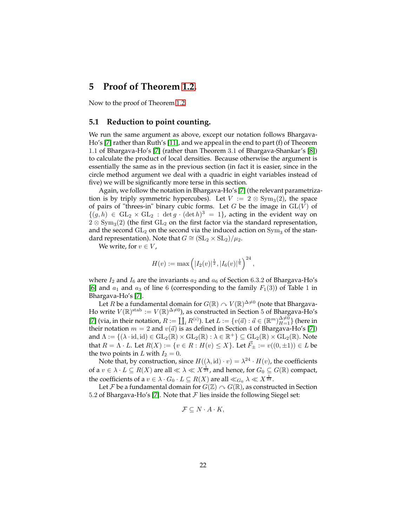## **5 Proof of Theorem [1.2.](#page-2-0)**

Now to the proof of Theorem [1.2.](#page-2-0)

## **5.1 Reduction to point counting.**

We run the same argument as above, except our notation follows Bhargava-Ho's [\[7\]](#page-24-5) rather than Ruth's [\[11\]](#page-24-0), and we appeal in the end to part (f) of Theorem 1.1 of Bhargava-Ho's [\[7\]](#page-24-5) (rather than Theorem 3.1 of Bhargava-Shankar's [\[8\]](#page-24-4)) to calculate the product of local densities. Because otherwise the argument is essentially the same as in the previous section (in fact it is easier, since in the circle method argument we deal with a quadric in eight variables instead of five) we will be significantly more terse in this section.

Again, we follow the notation in Bhargava-Ho's [\[7\]](#page-24-5) (the relevant parametrization is by triply symmetric hypercubes). Let  $V := 2 \otimes \text{Sym}_3(2)$ , the space of pairs of "threes-in" binary cubic forms. Let G be the image in  $GL(V)$  of  ${(g, h) \in GL_2 \times GL_2 : \det g \cdot (\det h)^3 = 1}$ , acting in the evident way on  $2 \otimes \text{Sym}_3(2)$  (the first  $GL_2$  on the first factor via the standard representation, and the second  $GL_2$  on the second via the induced action on  $Sym_3$  of the standard representation). Note that  $G \cong (\mathrm{SL}_2 \times \mathrm{SL}_2)/\mu_2$ .

We write, for  $v \in V$ ,

$$
H(v) := \max\left(|I_2(v)|^{\frac{1}{2}}, |I_6(v)|^{\frac{1}{6}}\right)^{24}
$$

,

where  $I_2$  and  $I_6$  are the invariants  $a_2$  and  $a_6$  of Section 6.3.2 of Bhargava-Ho's [\[6\]](#page-24-11) and  $a_1$  and  $a_3$  of line 6 (corresponding to the family  $F_1(3)$ ) of Table 1 in Bhargava-Ho's [\[7\]](#page-24-5).

Let  $R$  be a fundamental domain for  $G(\mathbb{R})\curvearrowright V(\mathbb{R})^{\Delta\neq 0}$  (note that Bhargava-Ho write  $V(\mathbb{R})^{\text{stab}} := V(\mathbb{R})^{\Delta \neq 0}$ ), as constructed in Section 5 of Bhargava-Ho's [\[7\]](#page-24-5) (via, in their notation,  $R := \coprod_i R^{(i)}$ ). Let  $L := \{v(\vec{a}) : \vec{a} \in (\mathbb{R}^m)_{H=1}^{\Delta \neq 0}\}$  (here in their notation  $m = 2$  and  $v(\vec{a})$  is as defined in Section 4 of Bhargava-Ho's [\[7\]](#page-24-5)) and  $\Lambda := \{(\lambda \cdot id, id) \in GL_2(\mathbb{R}) \times GL_2(\mathbb{R}) : \lambda \in \mathbb{R}^+\} \subseteq \text{GL}_2(\mathbb{R}) \times GL_2(\mathbb{R})$ . Note that  $R = \Lambda \cdot L$ . Let  $R(X) := \{v \in R : H(v) \leq X\}$ . Let  $\vec{F}_+ := v((0, \pm 1)) \in L$  be the two points in L with  $I_2 = 0$ .

Note that, by construction, since  $H((\lambda, id) \cdot v) = \lambda^{24} \cdot H(v)$ , the coefficients of a  $v \in \lambda \cdot L \subseteq R(X)$  are all  $\ll \lambda \ll X^{\frac{1}{24}}$ , and hence, for  $G_0 \subseteq G(\mathbb{R})$  compact, the coefficients of a  $v \in \lambda \cdot G_0 \cdot L \subseteq R(X)$  are all  $\ll_{G_0} \lambda \ll X^{\frac{1}{24}}$ .

Let F be a fundamental domain for  $G(\mathbb{Z}) \cap G(\mathbb{R})$ , as constructed in Section 5.2 of Bhargava-Ho's [\[7\]](#page-24-5). Note that  $\mathcal F$  lies inside the following Siegel set:

$$
\mathcal{F} \subseteq N \cdot A \cdot K,
$$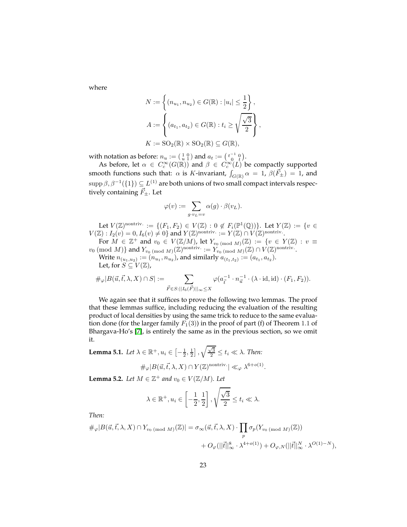where

$$
N := \left\{ (n_{u_1}, n_{u_2}) \in G(\mathbb{R}) : |u_i| \le \frac{1}{2} \right\},\newline A := \left\{ (a_{t_1}, a_{t_2}) \in G(\mathbb{R}) : t_i \ge \sqrt{\frac{\sqrt{3}}{2}} \right\},\newline K := SO_2(\mathbb{R}) \times SO_2(\mathbb{R}) \subseteq G(\mathbb{R}),\newline
$$

with notation as before:  $n_u := \begin{pmatrix} 1 & 0 \\ u & 1 \end{pmatrix}$  and  $a_t := \begin{pmatrix} t^{-1} & 0 \\ 0 & t \end{pmatrix}$ .

As before, let  $\alpha \in C_c^{\infty}(G(\mathbb{R}))$  and  $\beta \in C_c^{\infty}(L)$  be compactly supported smooth functions such that:  $\alpha$  is K-invariant,  $\int_{G(\mathbb{R})} \alpha = 1$ ,  $\beta(\vec{F}_{\pm}) = 1$ , and  $\text{supp}\,\beta,\beta^{-1}(\{1\})\subseteq L^{(1)}$  are both unions of two small compact intervals respectively containing  $\vec{F}_{\pm}$ . Let

$$
\varphi(v) := \sum_{g \cdot v_L = v} \alpha(g) \cdot \beta(v_L).
$$

Let  $V(\mathbb{Z})^{\text{nontriv.}} := \{ (F_1, F_2) \in V(\mathbb{Z}) : 0 \notin F_i(\mathbb{P}^1(\mathbb{Q})) \}.$  Let  $Y(\mathbb{Z}) := \{ v \in$  $V(\mathbb{Z}): I_2(v) = 0, I_6(v) \neq 0$  and  $Y(\mathbb{Z})^{\text{nontriv.}} := Y(\mathbb{Z}) \cap V(\mathbb{Z})^{\text{nontriv.}}$ .

For  $M \in \mathbb{Z}^+$  and  $v_0 \in V(\mathbb{Z}/M)$ , let  $Y_{v_0 \pmod{M}}(\mathbb{Z}) := \{v \in Y(\mathbb{Z}) : v \equiv 0 \}$  $v_0 \pmod{M}$  and  $Y_{v_0 \pmod{M}}(\mathbb{Z})^{\text{nontriv.}} := Y_{v_0 \pmod{M}}(\mathbb{Z}) \cap V(\mathbb{Z})^{\text{nontriv.}}$ .

Write  $n_{(u_1,u_2)} := (n_{u_1}, n_{u_2})$ , and similarly  $a_{(t_1,t_2)} := (a_{t_1}, a_{t_2})$ . Let, for  $S \subseteq V(\mathbb{Z})$ ,

$$
\#_{\varphi}|B(\vec{u}, \vec{t}, \lambda, X) \cap S| := \sum_{\vec{F} \in S: ||I_6(\vec{F})||_{\infty} \leq X} \varphi(a_{\vec{t}}^{-1} \cdot n_{\vec{u}}^{-1} \cdot (\lambda \cdot \text{id}, \text{id}) \cdot (F_1, F_2)).
$$

We again see that it suffices to prove the following two lemmas. The proof that these lemmas suffice, including reducing the evaluation of the resulting product of local densities by using the same trick to reduce to the same evaluation done (for the larger family  $F_1(3)$ ) in the proof of part (f) of Theorem 1.1 of Bhargava-Ho's [\[7\]](#page-24-5), is entirely the same as in the previous section, so we omit it.

<span id="page-22-0"></span>**Lemma 5.1.** *Let*  $\lambda \in \mathbb{R}^+$ ,  $u_i \in \left[-\frac{1}{2},\frac{1}{2}\right]$  ,  $\sqrt{\frac{\sqrt{3}}{2}} \le t_i \ll \lambda$ . *Then:* 

$$
\#_{\varphi}|B(\vec{u}, \vec{t}, \lambda, X) \cap Y(\mathbb{Z})^{\text{nontriv.}}| \ll_{\varphi} \lambda^{6+o(1)}.
$$

<span id="page-22-1"></span>**Lemma 5.2.** *Let*  $M \in \mathbb{Z}^+$  *and*  $v_0 \in V(\mathbb{Z}/M)$ *. Let* 

$$
\lambda \in \mathbb{R}^+, u_i \in \left[-\frac{1}{2}, \frac{1}{2}\right], \sqrt{\frac{\sqrt{3}}{2}} \le t_i \ll \lambda.
$$

*Then:*

$$
\#_{\varphi}|B(\vec{u}, \vec{t}, \lambda, X) \cap Y_{v_0 \text{ (mod } M)}(\mathbb{Z})| = \sigma_{\infty}(\vec{u}, \vec{t}, \lambda, X) \cdot \prod_p \sigma_p(Y_{v_0 \text{ (mod } M)}(\mathbb{Z}))
$$
  
+  $O_{\varphi}(||\vec{t}||_{\infty}^8 \cdot \lambda^{4+o(1)}) + O_{\varphi, N}(||\vec{t}||_{\infty}^N \cdot \lambda^{O(1)-N}),$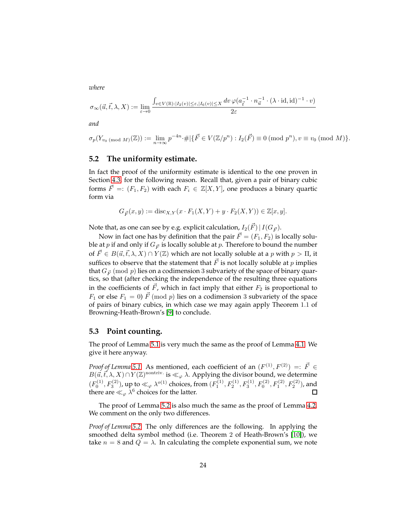*where*

$$
\sigma_{\infty}(\vec{u}, \vec{t}, \lambda, X) := \lim_{\varepsilon \to 0} \frac{\int_{v \in V(\mathbb{R}): |I_2(v)| \leq \varepsilon, |I_6(v)| \leq X} dv \, \varphi(a_{\vec{t}}^{-1} \cdot n_{\vec{u}}^{-1} \cdot (\lambda \cdot \text{id}, \text{id})^{-1} \cdot v)}{2\varepsilon}
$$

*and*

$$
\sigma_p(Y_{v_0 \pmod{M}}(\mathbb{Z})) := \lim_{n \to \infty} p^{-4n} \cdot \# \, | \{ \vec{F} \in V(\mathbb{Z}/p^n) : I_2(\vec{F}) \equiv 0 \pmod{p^n}, v \equiv v_0 \pmod{M} \}.
$$

## **5.2 The uniformity estimate.**

In fact the proof of the uniformity estimate is identical to the one proven in Section [4.3,](#page-16-1) for the following reason. Recall that, given a pair of binary cubic forms  $\vec{F} =: (F_1, F_2)$  with each  $F_i \in \mathbb{Z}[X, Y]$ , one produces a binary quartic form via

$$
G_{\vec{F}}(x, y) := \text{disc}_{X, Y}(x \cdot F_1(X, Y) + y \cdot F_2(X, Y)) \in \mathbb{Z}[x, y].
$$

Note that, as one can see by e.g. explicit calculation,  $I_2(\vec{F}) | I(G_{\vec{F}})$ .

Now in fact one has by definition that the pair  $\vec{F} = (F_1, F_2)$  is locally soluble at p if and only if  $G_{\vec{F}}$  is locally soluble at p. Therefore to bound the number of  $\vec{F} \in B(\vec{u}, \vec{t}, \lambda, X) \cap Y(\mathbb{Z})$  which are not locally soluble at a p with  $p > \Pi$ , it suffices to observe that the statement that  $\vec{F}$  is not locally soluble at p implies that  $G_{\vec{F}}$  (mod p) lies on a codimension 3 subvariety of the space of binary quartics, so that (after checking the independence of the resulting three equations in the coefficients of  $\vec{F}$ , which in fact imply that either  $F_2$  is proportional to  $F_1$  or else  $F_1 = 0$ )  $\vec{F}$  (mod  $p$ ) lies on a codimension 3 subvariety of the space of pairs of binary cubics, in which case we may again apply Theorem 1.1 of Browning-Heath-Brown's [\[9\]](#page-24-9) to conclude.

#### **5.3 Point counting.**

The proof of Lemma [5.1](#page-22-0) is very much the same as the proof of Lemma [4.1.](#page-9-2) We give it here anyway.

*Proof of Lemma* [5.1.](#page-22-0) As mentioned, each coefficient of an  $(F^{(1)}, F^{(2)}) =: \vec{F} \in$  $B(\vec{u}, \vec{t}, \lambda, X) \cap Y(\mathbb{Z})^{\text{nontriv.}}$  is ≪<sub> $\varphi$ </sub>  $\lambda$ . Applying the divisor bound, we determine  $(F_0^{(1)}, F_3^{(2)})$ , up to  $\ll_\varphi \lambda^{o(1)}$  choices, from  $(F_1^{(1)}, F_2^{(1)}, F_3^{(1)}, F_0^{(2)}, F_1^{(2)}, F_2^{(2)})$ , and there are  $\ll_{\varphi} \lambda^6$  choices for the latter.  $\Box$ 

The proof of Lemma [5.2](#page-22-1) is also much the same as the proof of Lemma [4.2.](#page-9-1) We comment on the only two differences.

*Proof of Lemma [5.2.](#page-22-1)* The only differences are the following. In applying the smoothed delta symbol method (i.e. Theorem 2 of Heath-Brown's [\[10\]](#page-24-10)), we take  $n = 8$  and  $Q = \lambda$ . In calculating the complete exponential sum, we note